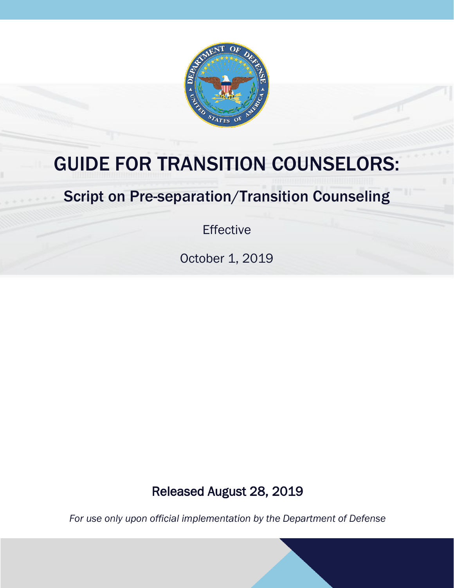

# GUIDE FOR TRANSITION COUNSELORS:

# Script on Pre-separation/Transition Counseling

Effective

October 1, 2019

# Released August 28, 2019

*For use only upon official implementation by the Department of Defense*

 $G$ uide For  $P$ re-separation  $\mathcal{L}$  - 1 - 1  $\mathcal{L}$  - 1 - 1  $\mathcal{L}$  - 1 - 1  $\mathcal{L}$  - 1  $\mathcal{L}$  - 1  $\mathcal{L}$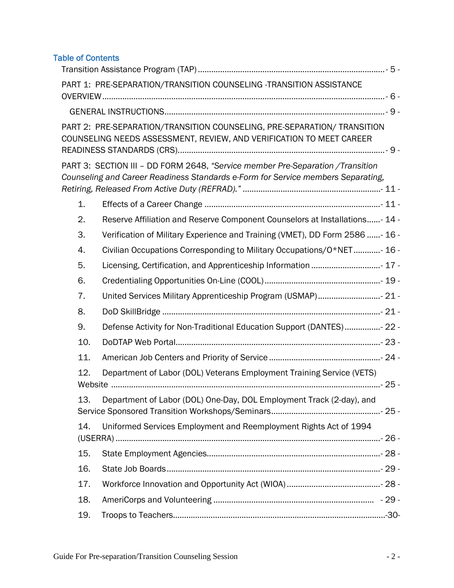# Table of Contents

|    |     | PART 1: PRE-SEPARATION/TRANSITION COUNSELING -TRANSITION ASSISTANCE                                                                                                |  |
|----|-----|--------------------------------------------------------------------------------------------------------------------------------------------------------------------|--|
|    |     |                                                                                                                                                                    |  |
|    |     | PART 2: PRE-SEPARATION/TRANSITION COUNSELING, PRE-SEPARATION/ TRANSITION<br>COUNSELING NEEDS ASSESSMENT, REVIEW, AND VERIFICATION TO MEET CAREER                   |  |
|    |     | PART 3: SECTION III - DD FORM 2648, "Service member Pre-Separation /Transition<br>Counseling and Career Readiness Standards e-Form for Service members Separating, |  |
| 1. |     |                                                                                                                                                                    |  |
| 2. |     | Reserve Affiliation and Reserve Component Counselors at Installations- 14 -                                                                                        |  |
| 3. |     | Verification of Military Experience and Training (VMET), DD Form 2586 - 16 -                                                                                       |  |
| 4. |     | Civilian Occupations Corresponding to Military Occupations/O*NET- 16 -                                                                                             |  |
| 5. |     | Licensing, Certification, and Apprenticeship Information  17 -                                                                                                     |  |
| 6. |     |                                                                                                                                                                    |  |
| 7. |     | United Services Military Apprenticeship Program (USMAP) 21 -                                                                                                       |  |
| 8. |     |                                                                                                                                                                    |  |
| 9. |     | Defense Activity for Non-Traditional Education Support (DANTES)- 22 -                                                                                              |  |
|    | 10. |                                                                                                                                                                    |  |
|    | 11. |                                                                                                                                                                    |  |
|    | 12. | Department of Labor (DOL) Veterans Employment Training Service (VETS)                                                                                              |  |
|    | 13. | Department of Labor (DOL) One-Day, DOL Employment Track (2-day), and                                                                                               |  |
|    | 14. | Uniformed Services Employment and Reemployment Rights Act of 1994                                                                                                  |  |
|    | 15. |                                                                                                                                                                    |  |
|    | 16. |                                                                                                                                                                    |  |
|    | 17. |                                                                                                                                                                    |  |
|    | 18. |                                                                                                                                                                    |  |
|    | 19. |                                                                                                                                                                    |  |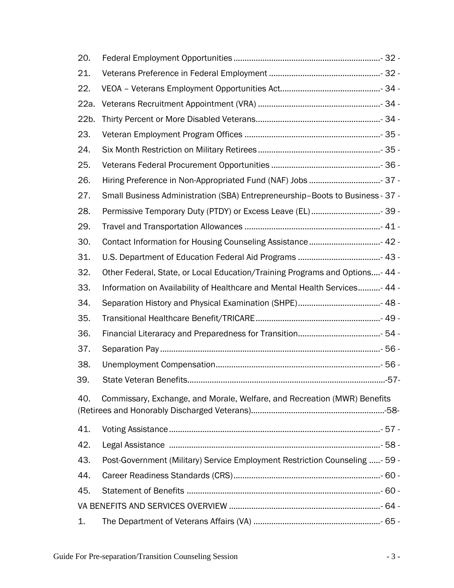| 20.                                                                             |                                                                               |  |  |  |
|---------------------------------------------------------------------------------|-------------------------------------------------------------------------------|--|--|--|
| 21.                                                                             |                                                                               |  |  |  |
| 22.                                                                             |                                                                               |  |  |  |
| 22a.                                                                            |                                                                               |  |  |  |
| 22b.                                                                            |                                                                               |  |  |  |
| 23.                                                                             |                                                                               |  |  |  |
| 24.                                                                             |                                                                               |  |  |  |
| 25.                                                                             |                                                                               |  |  |  |
| 26.                                                                             | Hiring Preference in Non-Appropriated Fund (NAF) Jobs  37 -                   |  |  |  |
| 27.                                                                             | Small Business Administration (SBA) Entrepreneurship-Boots to Business - 37 - |  |  |  |
| 28.                                                                             | Permissive Temporary Duty (PTDY) or Excess Leave (EL) 39 -                    |  |  |  |
| 29.                                                                             |                                                                               |  |  |  |
| 30.                                                                             | Contact Information for Housing Counseling Assistance 42 -                    |  |  |  |
| 31.                                                                             |                                                                               |  |  |  |
| 32.                                                                             | Other Federal, State, or Local Education/Training Programs and Options- 44 -  |  |  |  |
| 33.                                                                             | Information on Availability of Healthcare and Mental Health Services- 44 -    |  |  |  |
| 34.                                                                             |                                                                               |  |  |  |
| 35.                                                                             |                                                                               |  |  |  |
| 36.                                                                             |                                                                               |  |  |  |
| 37.                                                                             |                                                                               |  |  |  |
| 38.                                                                             |                                                                               |  |  |  |
| 39.                                                                             |                                                                               |  |  |  |
| Commissary, Exchange, and Morale, Welfare, and Recreation (MWR) Benefits<br>40. |                                                                               |  |  |  |
| 41.                                                                             |                                                                               |  |  |  |
| 42.                                                                             |                                                                               |  |  |  |
| 43.                                                                             | Post-Government (Military) Service Employment Restriction Counseling - 59 -   |  |  |  |
| 44.                                                                             |                                                                               |  |  |  |
| 45.                                                                             |                                                                               |  |  |  |
|                                                                                 |                                                                               |  |  |  |
| 1.                                                                              |                                                                               |  |  |  |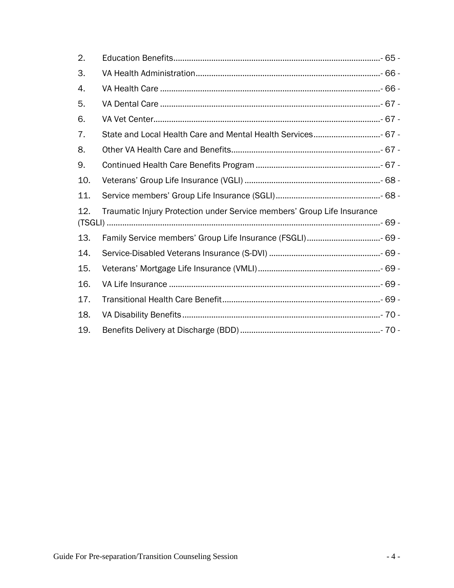| 2.  |                                                                         |  |  |  |
|-----|-------------------------------------------------------------------------|--|--|--|
| 3.  |                                                                         |  |  |  |
| 4.  |                                                                         |  |  |  |
| 5.  |                                                                         |  |  |  |
| 6.  |                                                                         |  |  |  |
| 7.  |                                                                         |  |  |  |
| 8.  |                                                                         |  |  |  |
| 9.  |                                                                         |  |  |  |
| 10. |                                                                         |  |  |  |
| 11. |                                                                         |  |  |  |
| 12. | Traumatic Injury Protection under Service members' Group Life Insurance |  |  |  |
|     |                                                                         |  |  |  |
| 13. |                                                                         |  |  |  |
| 14. |                                                                         |  |  |  |
| 15. |                                                                         |  |  |  |
| 16. |                                                                         |  |  |  |
| 17. |                                                                         |  |  |  |
| 18. |                                                                         |  |  |  |
| 19. |                                                                         |  |  |  |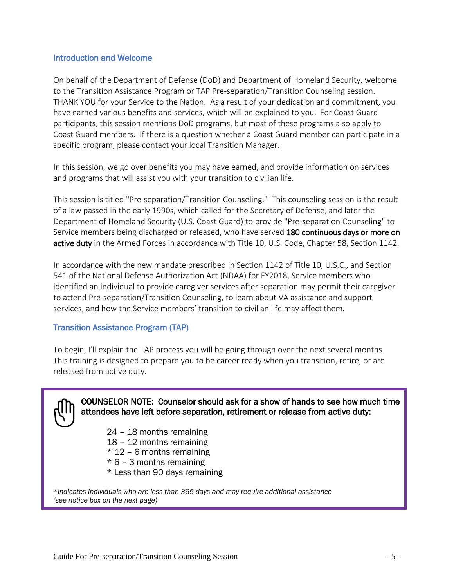#### Introduction and Welcome

On behalf of the Department of Defense (DoD) and Department of Homeland Security, welcome to the Transition Assistance Program or TAP Pre-separation/Transition Counseling session. THANK YOU for your Service to the Nation. As a result of your dedication and commitment, you have earned various benefits and services, which will be explained to you. For Coast Guard participants, this session mentions DoD programs, but most of these programs also apply to Coast Guard members. If there is a question whether a Coast Guard member can participate in a specific program, please contact your local Transition Manager.

In this session, we go over benefits you may have earned, and provide information on services and programs that will assist you with your transition to civilian life.

This session is titled "Pre-separation/Transition Counseling." This counseling session is the result of a law passed in the early 1990s, which called for the Secretary of Defense, and later the Department of Homeland Security (U.S. Coast Guard) to provide "Pre-separation Counseling" to Service members being discharged or released, who have served 180 continuous days or more on active duty in the Armed Forces in accordance with Title 10, U.S. Code, Chapter 58, Section 1142.

In accordance with the new mandate prescribed in Section 1142 of Title 10, U.S.C., and Section 541 of the National Defense Authorization Act (NDAA) for FY2018, Service members who identified an individual to provide caregiver services after separation may permit their caregiver to attend Pre-separation/Transition Counseling, to learn about VA assistance and support services, and how the Service members' transition to civilian life may affect them.

#### <span id="page-4-0"></span>Transition Assistance Program (TAP)

To begin, I'll explain the TAP process you will be going through over the next several months. This training is designed to prepare you to be career ready when you transition, retire, or are released from active duty.



- 24 18 months remaining
- 18 12 months remaining
- $*$  12 6 months remaining
- \* 6 3 months remaining
- \* Less than 90 days remaining

*\*indicates individuals who are less than 365 days and may require additional assistance (see notice box on the next page)*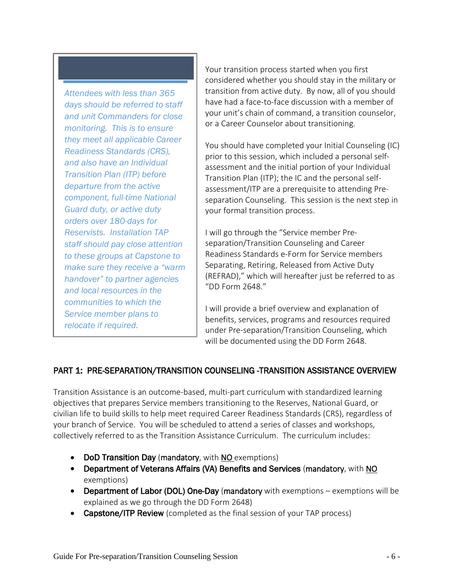*Attendees with less than 365 days should be referred to staff and unit Commanders for close monitoring. This is to ensure they meet all applicable Career Readiness Standards (CRS), and also have an Individual Transition Plan (ITP) before departure from the active component, full-time National Guard duty, or active duty orders over 180-days for Reservists. Installation TAP staff should pay close attention to these groups at Capstone to make sure they receive a "warm handover" to partner agencies and local resources in the communities to which the Service member plans to relocate if required.*

Your transition process started when you first considered whether you should stay in the military or transition from active duty. By now, all of you should have had a face-to-face discussion with a member of your unit's chain of command, a transition counselor, or a Career Counselor about transitioning.

You should have completed your Initial Counseling (IC) prior to this session, which included a personal selfassessment and the initial portion of your Individual Transition Plan (ITP); the IC and the personal selfassessment/ITP are a prerequisite to attending Preseparation Counseling. This session is the next step in your formal transition process.

I will go through the "Service member Preseparation/Transition Counseling and Career Readiness Standards e-Form for Service members Separating, Retiring, Released from Active Duty (REFRAD)," which will hereafter just be referred to as "DD Form 2648."

I will provide a brief overview and explanation of benefits, services, programs and resources required under Pre-separation/Transition Counseling, which will be documented using the DD Form 2648.

#### <span id="page-5-0"></span>PART 1: PRE-SEPARATION/TRANSITION COUNSELING -TRANSITION ASSISTANCE OVERVIEW

Transition Assistance is an outcome-based, multi-part curriculum with standardized learning objectives that prepares Service members transitioning to the Reserves, National Guard, or civilian life to build skills to help meet required Career Readiness Standards (CRS), regardless of your branch of Service. You will be scheduled to attend a series of classes and workshops, collectively referred to as the Transition Assistance Curriculum. The curriculum includes:

- DoD Transition Day (mandatory, with NO exemptions)
- Department of Veterans Affairs (VA) Benefits and Services (mandatory, with NO exemptions)
- Department of Labor (DOL) One-Day (mandatory with exemptions exemptions will be explained as we go through the DD Form 2648)
- **Capstone/ITP Review** (completed as the final session of your TAP process)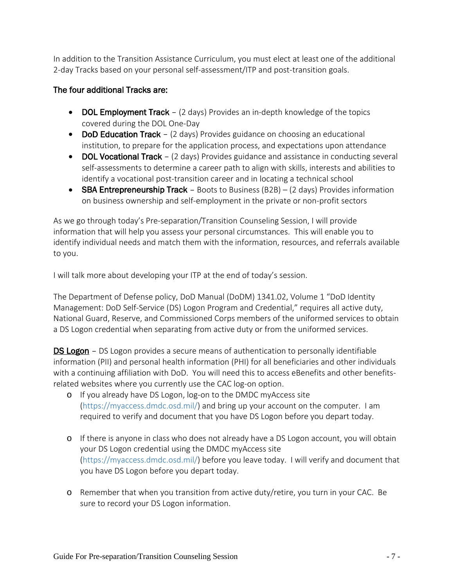In addition to the Transition Assistance Curriculum, you must elect at least one of the additional 2-day Tracks based on your personal self-assessment/ITP and post-transition goals.

#### The four additional Tracks are:

- DOL Employment Track (2 days) Provides an in-depth knowledge of the topics covered during the DOL One-Day
- DoD Education Track (2 days) Provides guidance on choosing an educational institution, to prepare for the application process, and expectations upon attendance
- DOL Vocational Track (2 days) Provides guidance and assistance in conducting several self-assessments to determine a career path to align with skills, interests and abilities to identify a vocational post-transition career and in locating a technical school
- SBA Entrepreneurship Track Boots to Business  $(B2B) (2 \text{ days})$  Provides information on business ownership and self-employment in the private or non-profit sectors

As we go through today's Pre-separation/Transition Counseling Session, I will provide information that will help you assess your personal circumstances. This will enable you to identify individual needs and match them with the information, resources, and referrals available to you.

I will talk more about developing your ITP at the end of today's session.

The Department of Defense policy, DoD Manual (DoDM) 1341.02, Volume 1 "DoD Identity Management: DoD Self-Service (DS) Logon Program and Credential," requires all active duty, National Guard, Reserve, and Commissioned Corps members of the uniformed services to obtain a DS Logon credential when separating from active duty or from the uniformed services.

DS Logon - DS Logon provides a secure means of authentication to personally identifiable information (PII) and personal health information (PHI) for all beneficiaries and other individuals with a continuing affiliation with DoD. You will need this to access eBenefits and other benefitsrelated websites where you currently use the CAC log-on option.

- o If you already have DS Logon, log-on to the DMDC myAccess site (https://myaccess.dmdc.osd.mil/) and bring up your account on the computer. I am required to verify and document that you have DS Logon before you depart today.
- o If there is anyone in class who does not already have a DS Logon account, you will obtain your DS Logon credential using the DMDC myAccess site (https://myaccess.dmdc.osd.mil/) before you leave today. I will verify and document that you have DS Logon before you depart today.
- o Remember that when you transition from active duty/retire, you turn in your CAC. Be sure to record your DS Logon information.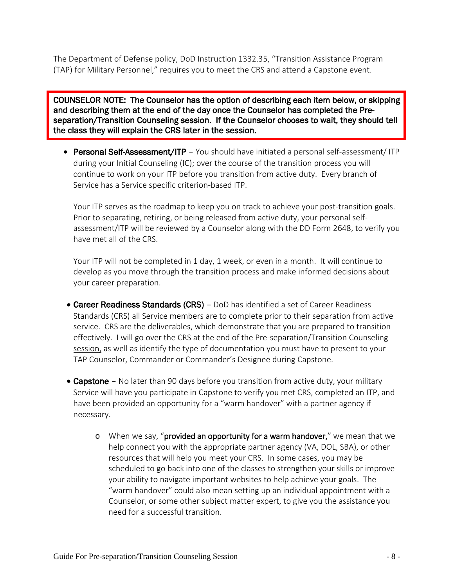The Department of Defense policy, DoD Instruction 1332.35, "Transition Assistance Program (TAP) for Military Personnel," requires you to meet the CRS and attend a Capstone event.

j COUNSELOR NOTE: The Counselor has the option of describing each item below, or skipping and describing them at the end of the day once the Counselor has completed the Preseparation/Transition Counseling session. If the Counselor chooses to wait, they should tell the class they will explain the CRS later in the session.

• Personal Self-Assessment/ITP - You should have initiated a personal self-assessment/ITP during your Initial Counseling (IC); over the course of the transition process you will continue to work on your ITP before you transition from active duty. Every branch of Service has a Service specific criterion-based ITP.

Your ITP serves as the roadmap to keep you on track to achieve your post-transition goals. Prior to separating, retiring, or being released from active duty, your personal selfassessment/ITP will be reviewed by a Counselor along with the DD Form 2648, to verify you have met all of the CRS.

Your ITP will not be completed in 1 day, 1 week, or even in a month. It will continue to develop as you move through the transition process and make informed decisions about your career preparation.

- Career Readiness Standards (CRS) DoD has identified a set of Career Readiness Standards (CRS) all Service members are to complete prior to their separation from active service. CRS are the deliverables, which demonstrate that you are prepared to transition effectively. I will go over the CRS at the end of the Pre-separation/Transition Counseling session, as well as identify the type of documentation you must have to present to your TAP Counselor, Commander or Commander's Designee during Capstone.
- Capstone No later than 90 days before you transition from active duty, your military Service will have you participate in Capstone to verify you met CRS, completed an ITP, and have been provided an opportunity for a "warm handover" with a partner agency if necessary.
	- $\circ$  When we say, "provided an opportunity for a warm handover," we mean that we help connect you with the appropriate partner agency (VA, DOL, SBA), or other resources that will help you meet your CRS. In some cases, you may be scheduled to go back into one of the classes to strengthen your skills or improve your ability to navigate important websites to help achieve your goals. The "warm handover" could also mean setting up an individual appointment with a Counselor, or some other subject matter expert, to give you the assistance you need for a successful transition.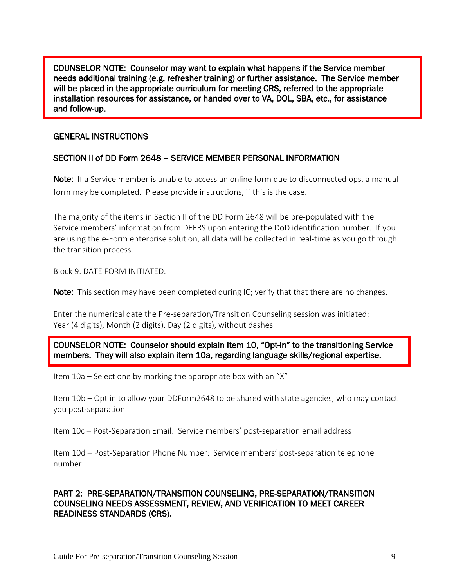COUNSELOR NOTE: Counselor may want to explain what happens if the Service member needs additional training (e.g. refresher training) or further assistance. The Service member will be placed in the appropriate curriculum for meeting CRS, referred to the appropriate installation resources for assistance, or handed over to VA, DOL, SBA, etc., for assistance and follow-up.

#### <span id="page-8-0"></span>GENERAL INSTRUCTIONS

#### SECTION II of DD Form 2648 – SERVICE MEMBER PERSONAL INFORMATION

Note: If a Service member is unable to access an online form due to disconnected ops, a manual form may be completed. Please provide instructions, if this is the case.

The majority of the items in Section II of the DD Form 2648 will be pre-populated with the Service members' information from DEERS upon entering the DoD identification number. If you are using the e-Form enterprise solution, all data will be collected in real-time as you go through the transition process.

Block 9. DATE FORM INITIATED.

**Note:** This section may have been completed during IC; verify that that there are no changes.

Enter the numerical date the Pre-separation/Transition Counseling session was initiated: Year (4 digits), Month (2 digits), Day (2 digits), without dashes.

COUNSELOR NOTE: Counselor should explain Item 10, "Opt-in" to the transitioning Service members. They will also explain item 10a, regarding language skills/regional expertise.

Item 10a – Select one by marking the appropriate box with an "X"

Item 10b – Opt in to allow your DDForm2648 to be shared with state agencies, who may contact you post-separation.

Item 10c – Post-Separation Email: Service members' post-separation email address

Item 10d – Post-Separation Phone Number: Service members' post-separation telephone number

#### <span id="page-8-1"></span>PART 2: PRE-SEPARATION/TRANSITION COUNSELING, PRE-SEPARATION/TRANSITION COUNSELING NEEDS ASSESSMENT, REVIEW, AND VERIFICATION TO MEET CAREER READINESS STANDARDS (CRS).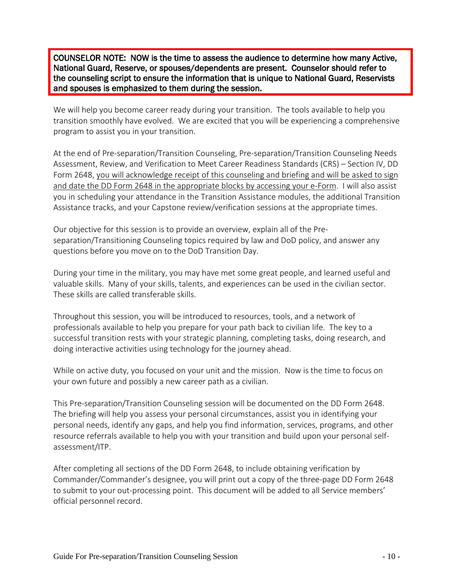COUNSELOR NOTE: NOW is the time to assess the audience to determine how many Active, National Guard, Reserve, or spouses/dependents are present. Counselor should refer to the counseling script to ensure the information that is unique to National Guard, Reservists and spouses is emphasized to them during the session.

We will help you become career ready during your transition. The tools available to help you transition smoothly have evolved. We are excited that you will be experiencing a comprehensive program to assist you in your transition.

At the end of Pre-separation/Transition Counseling, Pre-separation/Transition Counseling Needs Assessment, Review, and Verification to Meet Career Readiness Standards (CRS) – Section IV, DD Form 2648, you will acknowledge receipt of this counseling and briefing and will be asked to sign and date the DD Form 2648 in the appropriate blocks by accessing your e-Form. I will also assist you in scheduling your attendance in the Transition Assistance modules, the additional Transition Assistance tracks, and your Capstone review/verification sessions at the appropriate times.

Our objective for this session is to provide an overview, explain all of the Preseparation/Transitioning Counseling topics required by law and DoD policy, and answer any questions before you move on to the DoD Transition Day.

During your time in the military, you may have met some great people, and learned useful and valuable skills. Many of your skills, talents, and experiences can be used in the civilian sector. These skills are called transferable skills.

Throughout this session, you will be introduced to resources, tools, and a network of professionals available to help you prepare for your path back to civilian life. The key to a successful transition rests with your strategic planning, completing tasks, doing research, and doing interactive activities using technology for the journey ahead.

While on active duty, you focused on your unit and the mission. Now is the time to focus on your own future and possibly a new career path as a civilian.

This Pre-separation/Transition Counseling session will be documented on the DD Form 2648. The briefing will help you assess your personal circumstances, assist you in identifying your personal needs, identify any gaps, and help you find information, services, programs, and other resource referrals available to help you with your transition and build upon your personal selfassessment/ITP.

After completing all sections of the DD Form 2648, to include obtaining verification by Commander/Commander's designee, you will print out a copy of the three-page DD Form 2648 to submit to your out-processing point. This document will be added to all Service members' official personnel record.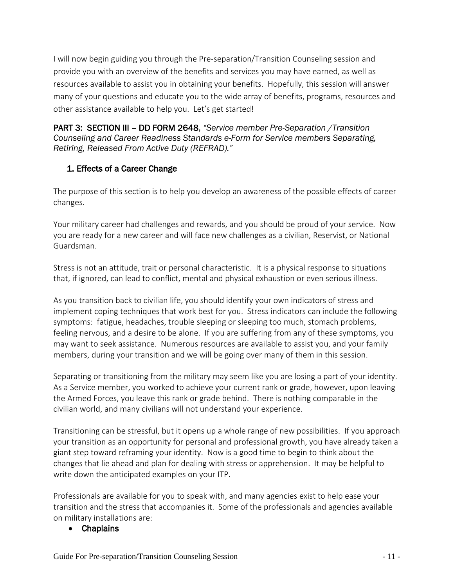I will now begin guiding you through the Pre-separation/Transition Counseling session and provide you with an overview of the benefits and services you may have earned, as well as resources available to assist you in obtaining your benefits. Hopefully, this session will answer many of your questions and educate you to the wide array of benefits, programs, resources and other assistance available to help you. Let's get started!

<span id="page-10-0"></span>PART 3: SECTION III – DD FORM 2648, *"Service member Pre-Separation /Transition Counseling and Career Readiness Standards e-Form for Service members Separating, Retiring, Released From Active Duty (REFRAD)."* 

# <span id="page-10-1"></span>1. Effects of a Career Change

The purpose of this section is to help you develop an awareness of the possible effects of career changes.

Your military career had challenges and rewards, and you should be proud of your service. Now you are ready for a new career and will face new challenges as a civilian, Reservist, or National Guardsman.

Stress is not an attitude, trait or personal characteristic. It is a physical response to situations that, if ignored, can lead to conflict, mental and physical exhaustion or even serious illness.

As you transition back to civilian life, you should identify your own indicators of stress and implement coping techniques that work best for you. Stress indicators can include the following symptoms: fatigue, headaches, trouble sleeping or sleeping too much, stomach problems, feeling nervous, and a desire to be alone. If you are suffering from any of these symptoms, you may want to seek assistance. Numerous resources are available to assist you, and your family members, during your transition and we will be going over many of them in this session.

Separating or transitioning from the military may seem like you are losing a part of your identity. As a Service member, you worked to achieve your current rank or grade, however, upon leaving the Armed Forces, you leave this rank or grade behind. There is nothing comparable in the civilian world, and many civilians will not understand your experience.

Transitioning can be stressful, but it opens up a whole range of new possibilities. If you approach your transition as an opportunity for personal and professional growth, you have already taken a giant step toward reframing your identity. Now is a good time to begin to think about the changes that lie ahead and plan for dealing with stress or apprehension. It may be helpful to write down the anticipated examples on your ITP.

Professionals are available for you to speak with, and many agencies exist to help ease your transition and the stress that accompanies it. Some of the professionals and agencies available on military installations are:

#### • Chaplains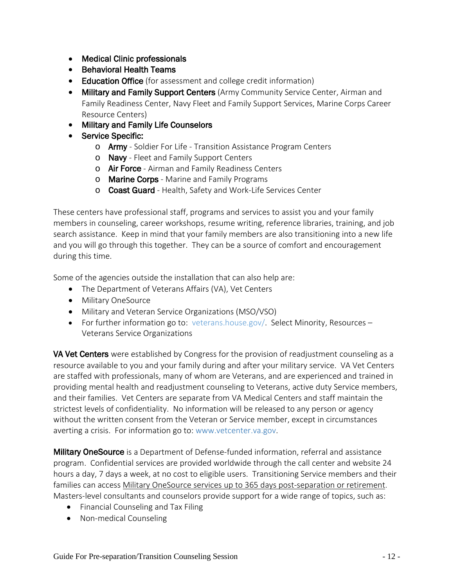- Medical Clinic professionals
- Behavioral Health Teams
- Education Office (for assessment and college credit information)
- Military and Family Support Centers (Army Community Service Center, Airman and Family Readiness Center, Navy Fleet and Family Support Services, Marine Corps Career Resource Centers)
- Military and Family Life Counselors
- Service Specific:
	- o **Army** Soldier For Life Transition Assistance Program Centers
	- o Navy Fleet and Family Support Centers
	- o Air Force Airman and Family Readiness Centers
	- o Marine Corps Marine and Family Programs
	- o **Coast Guard** Health, Safety and Work-Life Services Center

These centers have professional staff, programs and services to assist you and your family members in counseling, career workshops, resume writing, reference libraries, training, and job search assistance. Keep in mind that your family members are also transitioning into a new life and you will go through this together. They can be a source of comfort and encouragement during this time.

Some of the agencies outside the installation that can also help are:

- The Department of Veterans Affairs (VA), Vet Centers
- Military OneSource
- Military and Veteran Service Organizations (MSO/VSO)
- For further information go to: veterans.house.gov/. Select Minority, Resources Veterans Service Organizations

**VA Vet Centers** were established by Congress for the provision of readjustment counseling as a resource available to you and your family during and after your military service. VA Vet Centers are staffed with professionals, many of whom are Veterans, and are experienced and trained in providing mental health and readjustment counseling to Veterans, active duty Service members, and their families. Vet Centers are separate from VA Medical Centers and staff maintain the strictest levels of confidentiality. No information will be released to any person or agency without the written consent from the Veteran or Service member, except in circumstances averting a crisis. For information go to: www.vetcenter.va.gov.

**Military OneSource** is a Department of Defense-funded information, referral and assistance program. Confidential services are provided worldwide through the call center and website 24 hours a day, 7 days a week, at no cost to eligible users. Transitioning Service members and their families can access Military OneSource services up to 365 days post-separation or retirement. Masters-level consultants and counselors provide support for a wide range of topics, such as:

- Financial Counseling and Tax Filing
- Non-medical Counseling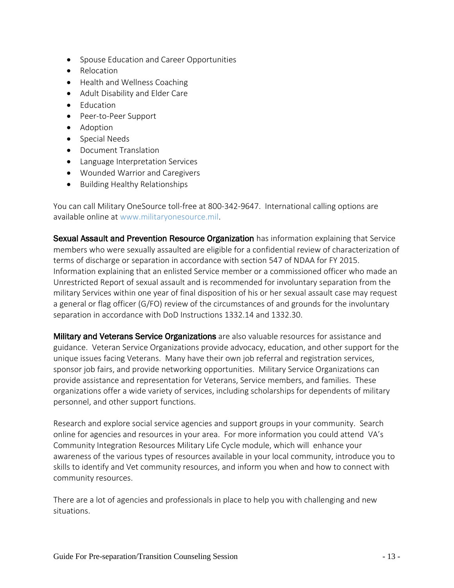- Spouse Education and Career Opportunities
- Relocation
- Health and Wellness Coaching
- Adult Disability and Elder Care
- Education
- Peer-to-Peer Support
- Adoption
- Special Needs
- Document Translation
- Language Interpretation Services
- Wounded Warrior and Caregivers
- Building Healthy Relationships

You can call Military OneSource toll-free at 800-342-9647. International calling options are available online at www.militaryonesource.mil.

Sexual Assault and Prevention Resource Organization has information explaining that Service members who were sexually assaulted are eligible for a confidential review of characterization of terms of discharge or separation in accordance with section 547 of NDAA for FY 2015. Information explaining that an enlisted Service member or a commissioned officer who made an Unrestricted Report of sexual assault and is recommended for involuntary separation from the military Services within one year of final disposition of his or her sexual assault case may request a general or flag officer (G/FO) review of the circumstances of and grounds for the involuntary separation in accordance with DoD Instructions 1332.14 and 1332.30.

**Military and Veterans Service Organizations** are also valuable resources for assistance and guidance. Veteran Service Organizations provide advocacy, education, and other support for the unique issues facing Veterans. Many have their own job referral and registration services, sponsor job fairs, and provide networking opportunities. Military Service Organizations can provide assistance and representation for Veterans, Service members, and families. These organizations offer a wide variety of services, including scholarships for dependents of military personnel, and other support functions.

Research and explore social service agencies and support groups in your community. Search online for agencies and resources in your area. For more information you could attend VA's Community Integration Resources Military Life Cycle module, which will enhance your awareness of the various types of resources available in your local community, introduce you to skills to identify and Vet community resources, and inform you when and how to connect with community resources.

There are a lot of agencies and professionals in place to help you with challenging and new situations.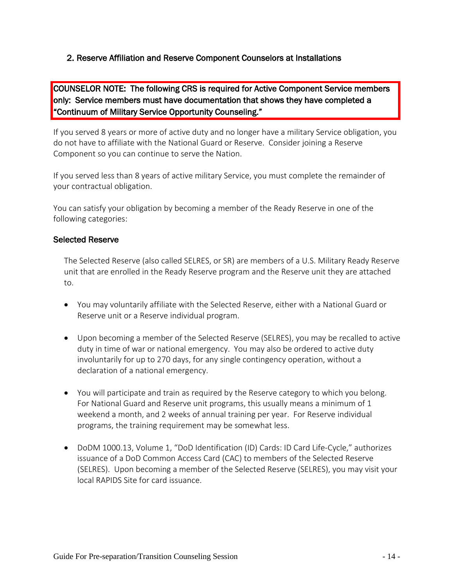#### <span id="page-13-0"></span>2. Reserve Affiliation and Reserve Component Counselors at Installations

COUNSELOR NOTE: The following CRS is required for Active Component Service members only: Service members must have documentation that shows they have completed a "Continuum of Military Service Opportunity Counseling."

If you served 8 years or more of active duty and no longer have a military Service obligation, you do not have to affiliate with the National Guard or Reserve. Consider joining a Reserve Component so you can continue to serve the Nation.

If you served less than 8 years of active military Service, you must complete the remainder of your contractual obligation.

You can satisfy your obligation by becoming a member of the Ready Reserve in one of the following categories:

#### Selected Reserve

The Selected Reserve (also called SELRES, or SR) are members of a U.S. Military Ready Reserve unit that are enrolled in the Ready Reserve program and the Reserve unit they are attached to.

- You may voluntarily affiliate with the Selected Reserve, either with a National Guard or Reserve unit or a Reserve individual program.
- Upon becoming a member of the Selected Reserve (SELRES), you may be recalled to active duty in time of war or national emergency. You may also be ordered to active duty involuntarily for up to 270 days, for any single contingency operation, without a declaration of a national emergency.
- You will participate and train as required by the Reserve category to which you belong. For National Guard and Reserve unit programs, this usually means a minimum of 1 weekend a month, and 2 weeks of annual training per year. For Reserve individual programs, the training requirement may be somewhat less.
- DoDM 1000.13, Volume 1, "DoD Identification (ID) Cards: ID Card Life-Cycle," authorizes issuance of a DoD Common Access Card (CAC) to members of the Selected Reserve (SELRES). Upon becoming a member of the Selected Reserve (SELRES), you may visit your local RAPIDS Site for card issuance.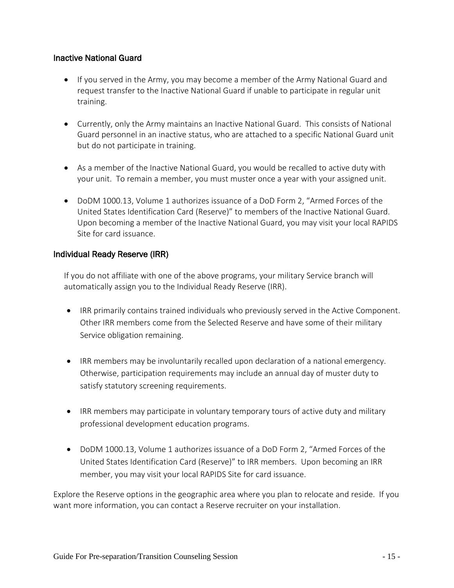#### Inactive National Guard

- If you served in the Army, you may become a member of the Army National Guard and request transfer to the Inactive National Guard if unable to participate in regular unit training.
- Currently, only the Army maintains an Inactive National Guard. This consists of National Guard personnel in an inactive status, who are attached to a specific National Guard unit but do not participate in training.
- As a member of the Inactive National Guard, you would be recalled to active duty with your unit. To remain a member, you must muster once a year with your assigned unit.
- DoDM 1000.13, Volume 1 authorizes issuance of a DoD Form 2, "Armed Forces of the United States Identification Card (Reserve)" to members of the Inactive National Guard. Upon becoming a member of the Inactive National Guard, you may visit your local RAPIDS Site for card issuance.

#### Individual Ready Reserve (IRR)

If you do not affiliate with one of the above programs, your military Service branch will automatically assign you to the Individual Ready Reserve (IRR).

- IRR primarily contains trained individuals who previously served in the Active Component. Other IRR members come from the Selected Reserve and have some of their military Service obligation remaining.
- IRR members may be involuntarily recalled upon declaration of a national emergency. Otherwise, participation requirements may include an annual day of muster duty to satisfy statutory screening requirements.
- IRR members may participate in voluntary temporary tours of active duty and military professional development education programs.
- DoDM 1000.13, Volume 1 authorizes issuance of a DoD Form 2, "Armed Forces of the United States Identification Card (Reserve)" to IRR members. Upon becoming an IRR member, you may visit your local RAPIDS Site for card issuance.

Explore the Reserve options in the geographic area where you plan to relocate and reside. If you want more information, you can contact a Reserve recruiter on your installation.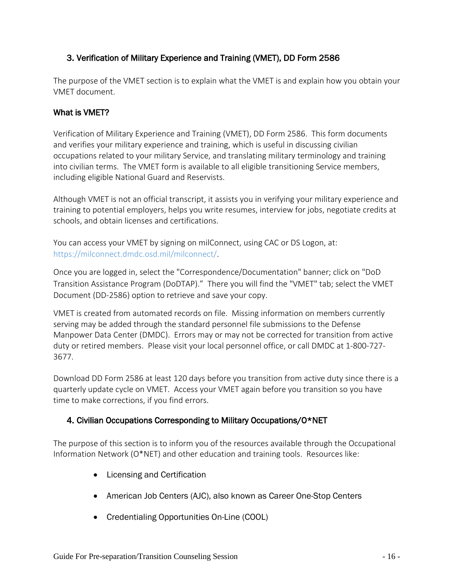# <span id="page-15-0"></span>3. Verification of Military Experience and Training (VMET), DD Form 2586

The purpose of the VMET section is to explain what the VMET is and explain how you obtain your VMET document.

#### What is VMET?

Verification of Military Experience and Training (VMET), DD Form 2586. This form documents and verifies your military experience and training, which is useful in discussing civilian occupations related to your military Service, and translating military terminology and training into civilian terms. The VMET form is available to all eligible transitioning Service members, including eligible National Guard and Reservists.

Although VMET is not an official transcript, it assists you in verifying your military experience and training to potential employers, helps you write resumes, interview for jobs, negotiate credits at schools, and obtain licenses and certifications.

You can access your VMET by signing on milConnect, using CAC or DS Logon, at: https://milconnect.dmdc.osd.mil/milconnect/.

Once you are logged in, select the "Correspondence/Documentation" banner; click on "DoD Transition Assistance Program (DoDTAP)." There you will find the "VMET" tab; select the VMET Document (DD-2586) option to retrieve and save your copy.

VMET is created from automated records on file. Missing information on members currently serving may be added through the standard personnel file submissions to the Defense Manpower Data Center (DMDC). Errors may or may not be corrected for transition from active duty or retired members. Please visit your local personnel office, or call DMDC at 1-800-727- 3677.

Download DD Form 2586 at least 120 days before you transition from active duty since there is a quarterly update cycle on VMET. Access your VMET again before you transition so you have time to make corrections, if you find errors.

#### <span id="page-15-1"></span>4. Civilian Occupations Corresponding to Military Occupations/O\*NET

The purpose of this section is to inform you of the resources available through the Occupational Information Network (O\*NET) and other education and training tools. Resources like:

- Licensing and Certification
- American Job Centers (AJC), also known as Career One-Stop Centers
- Credentialing Opportunities On-Line (COOL)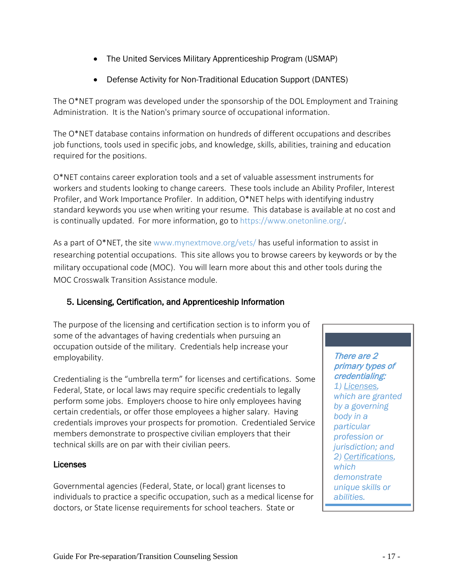- The United Services Military Apprenticeship Program (USMAP)
- Defense Activity for Non-Traditional Education Support (DANTES)

The O\*NET program was developed under the sponsorship of the DOL Employment and Training Administration. It is the Nation's primary source of occupational information.

The O\*NET database contains information on hundreds of different occupations and describes job functions, tools used in specific jobs, and knowledge, skills, abilities, training and education required for the positions.

O\*NET contains career exploration tools and a set of valuable assessment instruments for workers and students looking to change careers. These tools include an Ability Profiler, Interest Profiler, and Work Importance Profiler. In addition, O\*NET helps with identifying industry standard keywords you use when writing your resume. This database is available at no cost and is continually updated. For more information, go to https://www.onetonline.org/.

As a part of O\*NET, the site www.mynextmove.org/vets/ has useful information to assist in researching potential occupations. This site allows you to browse careers by keywords or by the military occupational code (MOC). You will learn more about this and other tools during the MOC Crosswalk Transition Assistance module.

#### <span id="page-16-0"></span>5. Licensing, Certification, and Apprenticeship Information

The purpose of the licensing and certification section is to inform you of some of the advantages of having credentials when pursuing an occupation outside of the military. Credentials help increase your employability.

Credentialing is the "umbrella term" for licenses and certifications. Some Federal, State, or local laws may require specific credentials to legally perform some jobs. Employers choose to hire only employees having certain credentials, or offer those employees a higher salary. Having credentials improves your prospects for promotion. Credentialed Service members demonstrate to prospective civilian employers that their technical skills are on par with their civilian peers.

#### Licenses

Governmental agencies (Federal, State, or local) grant licenses to individuals to practice a specific occupation, such as a medical license for doctors, or State license requirements for school teachers. State or

There are 2 primary types of credentialing: *1) Licenses, which are granted by a governing body in a particular profession or jurisdiction; and 2) Certifications, which demonstrate unique skills or abilities.*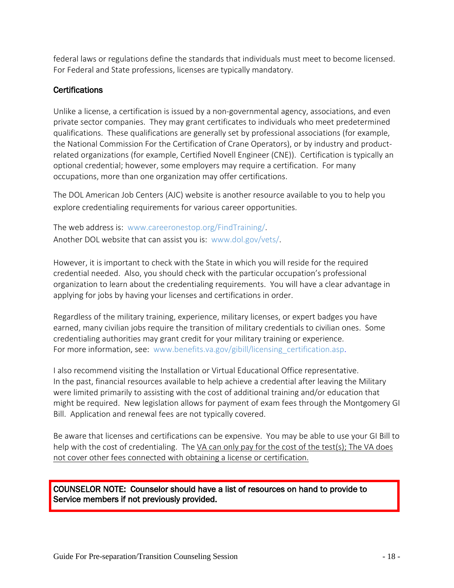federal laws or regulations define the standards that individuals must meet to become licensed. For Federal and State professions, licenses are typically mandatory.

#### **Certifications**

Unlike a license, a certification is issued by a non-governmental agency, associations, and even private sector companies. They may grant certificates to individuals who meet predetermined qualifications. These qualifications are generally set by professional associations (for example, the National Commission For the Certification of Crane Operators), or by industry and productrelated organizations (for example, Certified Novell Engineer (CNE)). Certification is typically an optional credential; however, some employers may require a certification. For many occupations, more than one organization may offer certifications.

The DOL American Job Centers (AJC) website is another resource available to you to help you explore credentialing requirements for various career opportunities.

The web address is: [www.careeronestop.org/FindTraining/.](file://usr.osd.mil/home/OSD/OUSD%20P-R/SmithJD2/_MyComputer/Documents/Pre-Sep%20Script/www.careeronestop.org/FindTraining/) Another DOL website that can assist you is: www.dol.gov/vets/.

However, it is important to check with the State in which you will reside for the required credential needed. Also, you should check with the particular occupation's professional organization to learn about the credentialing requirements. You will have a clear advantage in applying for jobs by having your licenses and certifications in order.

Regardless of the military training, experience, military licenses, or expert badges you have earned, many civilian jobs require the transition of military credentials to civilian ones. Some credentialing authorities may grant credit for your military training or experience. For more information, see: www.benefits.va.gov/gibill/licensing certification.asp.

I also recommend visiting the Installation or Virtual Educational Office representative. In the past, financial resources available to help achieve a credential after leaving the Military were limited primarily to assisting with the cost of additional training and/or education that might be required. New legislation allows for payment of exam fees through the Montgomery GI Bill. Application and renewal fees are not typically covered.

Be aware that licenses and certifications can be expensive. You may be able to use your GI Bill to help with the cost of credentialing. The VA can only pay for the cost of the test(s); The VA does not cover other fees connected with obtaining a license or certification.

COUNSELOR NOTE: Counselor should have a list of resources on hand to provide to Service members if not previously provided.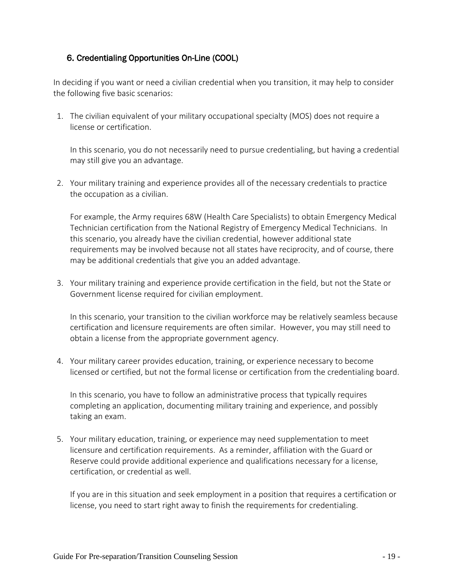### <span id="page-18-0"></span>6. Credentialing Opportunities On-Line (COOL)

In deciding if you want or need a civilian credential when you transition, it may help to consider the following five basic scenarios:

1. The civilian equivalent of your military occupational specialty (MOS) does not require a license or certification.

In this scenario, you do not necessarily need to pursue credentialing, but having a credential may still give you an advantage.

2. Your military training and experience provides all of the necessary credentials to practice the occupation as a civilian.

For example, the Army requires 68W (Health Care Specialists) to obtain Emergency Medical Technician certification from the National Registry of Emergency Medical Technicians. In this scenario, you already have the civilian credential, however additional state requirements may be involved because not all states have reciprocity, and of course, there may be additional credentials that give you an added advantage.

3. Your military training and experience provide certification in the field, but not the State or Government license required for civilian employment.

In this scenario, your transition to the civilian workforce may be relatively seamless because certification and licensure requirements are often similar. However, you may still need to obtain a license from the appropriate government agency.

4. Your military career provides education, training, or experience necessary to become licensed or certified, but not the formal license or certification from the credentialing board.

In this scenario, you have to follow an administrative process that typically requires completing an application, documenting military training and experience, and possibly taking an exam.

5. Your military education, training, or experience may need supplementation to meet licensure and certification requirements. As a reminder, affiliation with the Guard or Reserve could provide additional experience and qualifications necessary for a license, certification, or credential as well.

If you are in this situation and seek employment in a position that requires a certification or license, you need to start right away to finish the requirements for credentialing.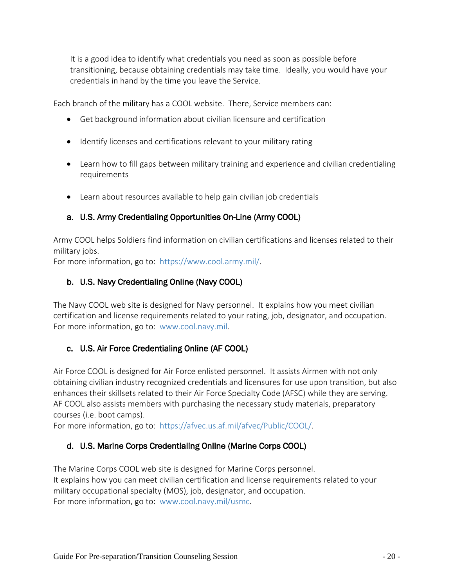It is a good idea to identify what credentials you need as soon as possible before transitioning, because obtaining credentials may take time. Ideally, you would have your credentials in hand by the time you leave the Service.

Each branch of the military has a COOL website. There, Service members can:

- Get background information about civilian licensure and certification
- Identify licenses and certifications relevant to your military rating
- Learn how to fill gaps between military training and experience and civilian credentialing requirements
- Learn about resources available to help gain civilian job credentials

# a. U.S. Army Credentialing Opportunities On-Line (Army COOL)

Army COOL helps Soldiers find information on civilian certifications and licenses related to their military jobs.

For more information, go to: https://www.cool.army.mil/.

# b. U.S. Navy Credentialing Online (Navy COOL)

The Navy COOL web site is designed for Navy personnel. It explains how you meet civilian certification and license requirements related to your rating, job, designator, and occupation. For more information, go to: www.cool.navy.mil.

# c. U.S. Air Force Credentialing Online (AF COOL)

Air Force COOL is designed for Air Force enlisted personnel. It assists Airmen with not only obtaining civilian industry recognized credentials and licensures for use upon transition, but also enhances their skillsets related to their Air Force Specialty Code (AFSC) while they are serving. AF COOL also assists members with purchasing the necessary study materials, preparatory courses (i.e. boot camps).

For more information, go to: https://afvec.us.af.mil/afvec/Public/COOL/.

# d. U.S. Marine Corps Credentialing Online (Marine Corps COOL)

The Marine Corps COOL web site is designed for Marine Corps personnel. It explains how you can meet civilian certification and license requirements related to your military occupational specialty (MOS), job, designator, and occupation. For more information, go to: www.cool.navy.mil/usmc.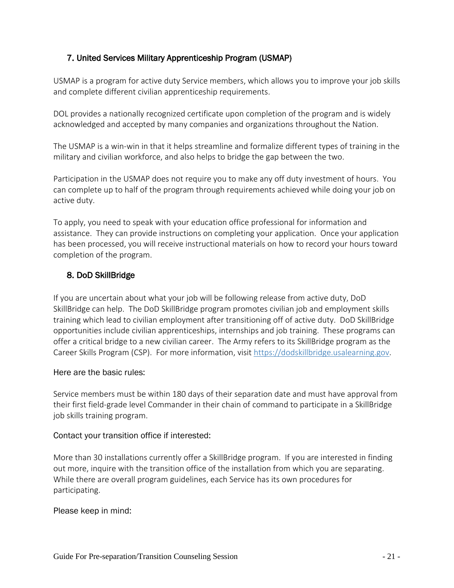# <span id="page-20-0"></span>7. United Services Military Apprenticeship Program (USMAP)

USMAP is a program for active duty Service members, which allows you to improve your job skills and complete different civilian apprenticeship requirements.

DOL provides a nationally recognized certificate upon completion of the program and is widely acknowledged and accepted by many companies and organizations throughout the Nation.

The USMAP is a win-win in that it helps streamline and formalize different types of training in the military and civilian workforce, and also helps to bridge the gap between the two.

Participation in the USMAP does not require you to make any off duty investment of hours. You can complete up to half of the program through requirements achieved while doing your job on active duty.

To apply, you need to speak with your education office professional for information and assistance. They can provide instructions on completing your application. Once your application has been processed, you will receive instructional materials on how to record your hours toward completion of the program.

#### <span id="page-20-1"></span>8. DoD SkillBridge

If you are uncertain about what your job will be following release from active duty, DoD SkillBridge can help. The DoD SkillBridge program promotes civilian job and employment skills training which lead to civilian employment after transitioning off of active duty. DoD SkillBridge opportunities include civilian apprenticeships, internships and job training. These programs can offer a critical bridge to a new civilian career. The Army refers to its SkillBridge program as the Career Skills Program (CSP). For more information, visit [https://dodskillbridge.usalearning.gov.](https://dodskillbridge.usalearning.gov/)

#### Here are the basic rules:

Service members must be within 180 days of their separation date and must have approval from their first field-grade level Commander in their chain of command to participate in a SkillBridge job skills training program.

#### Contact your transition office if interested:

More than 30 installations currently offer a SkillBridge program. If you are interested in finding out more, inquire with the transition office of the installation from which you are separating. While there are overall program guidelines, each Service has its own procedures for participating.

#### Please keep in mind: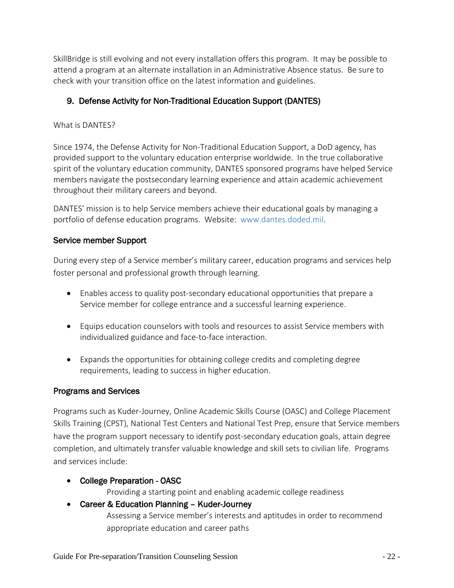SkillBridge is still evolving and not every installation offers this program. It may be possible to attend a program at an alternate installation in an Administrative Absence status. Be sure to check with your transition office on the latest information and guidelines.

# <span id="page-21-0"></span>9. Defense Activity for Non-Traditional Education Support (DANTES)

#### What is DANTES?

Since 1974, the Defense Activity for Non-Traditional Education Support, a DoD agency, has provided support to the voluntary education enterprise worldwide. In the true collaborative spirit of the voluntary education community, DANTES sponsored programs have helped Service members navigate the postsecondary learning experience and attain academic achievement throughout their military careers and beyond.

DANTES' mission is to help Service members achieve their educational goals by managing a portfolio of defense education programs. Website: www.dantes.doded.mil.

#### Service member Support

During every step of a Service member's military career, education programs and services help foster personal and professional growth through learning.

- Enables access to quality post-secondary educational opportunities that prepare a Service member for college entrance and a successful learning experience.
- Equips education counselors with tools and resources to assist Service members with individualized guidance and face-to-face interaction.
- Expands the opportunities for obtaining college credits and completing degree requirements, leading to success in higher education.

#### Programs and Services

Programs such as Kuder-Journey, Online Academic Skills Course (OASC) and College Placement Skills Training (CPST), National Test Centers and National Test Prep, ensure that Service members have the program support necessary to identify post-secondary education goals, attain degree completion, and ultimately transfer valuable knowledge and skill sets to civilian life. Programs and services include:

• College Preparation - OASC

Providing a starting point and enabling academic college readiness

#### • Career & Education Planning – Kuder-Journey

Assessing a Service member's interests and aptitudes in order to recommend appropriate education and career paths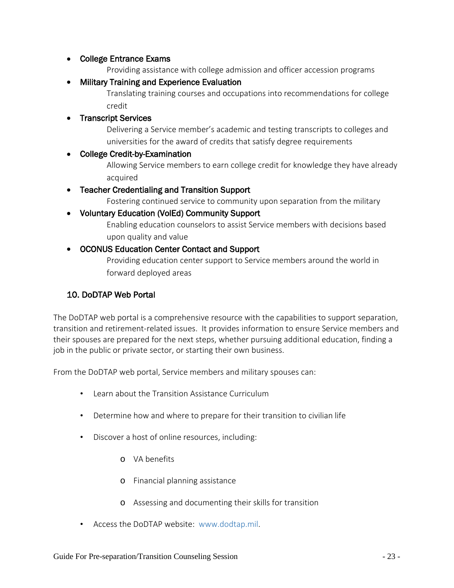#### • College Entrance Exams

Providing assistance with college admission and officer accession programs

• Military Training and Experience Evaluation

Translating training courses and occupations into recommendations for college credit

#### • Transcript Services

Delivering a Service member's academic and testing transcripts to colleges and universities for the award of credits that satisfy degree requirements

#### • College Credit-by-Examination

Allowing Service members to earn college credit for knowledge they have already acquired

#### • Teacher Credentialing and Transition Support

Fostering continued service to community upon separation from the military

#### • Voluntary Education (VolEd) Community Support

Enabling education counselors to assist Service members with decisions based upon quality and value

#### • OCONUS Education Center Contact and Support

Providing education center support to Service members around the world in forward deployed areas

#### <span id="page-22-0"></span>10. DoDTAP Web Portal

The DoDTAP web portal is a comprehensive resource with the capabilities to support separation, transition and retirement-related issues. It provides information to ensure Service members and their spouses are prepared for the next steps, whether pursuing additional education, finding a job in the public or private sector, or starting their own business.

From the DoDTAP web portal, Service members and military spouses can:

- Learn about the Transition Assistance Curriculum
- Determine how and where to prepare for their transition to civilian life
- Discover a host of online resources, including:
	- o VA benefits
	- o Financial planning assistance
	- o Assessing and documenting their skills for transition
- Access the DoDTAP website: [www.dodtap.mil.](http://www.dodtap.mil/)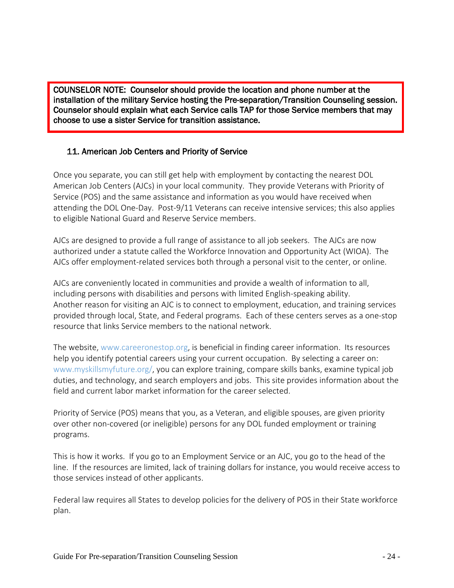j COUNSELOR NOTE: Counselor should provide the location and phone number at the installation of the military Service hosting the Pre-separation/Transition Counseling session. Counselor should explain what each Service calls TAP for those Service members that may choose to use a sister Service for transition assistance.

#### <span id="page-23-0"></span>11. American Job Centers and Priority of Service

Once you separate, you can still get help with employment by contacting the nearest DOL American Job Centers (AJCs) in your local community. They provide Veterans with Priority of Service (POS) and the same assistance and information as you would have received when attending the DOL One-Day. Post-9/11 Veterans can receive intensive services; this also applies to eligible National Guard and Reserve Service members.

AJCs are designed to provide a full range of assistance to all job seekers. The AJCs are now authorized under a statute called the Workforce Innovation and Opportunity Act (WIOA). The AJCs offer employment-related services both through a personal visit to the center, or online.

AJCs are conveniently located in communities and provide a wealth of information to all, including persons with disabilities and persons with limited English-speaking ability. Another reason for visiting an AJC is to connect to employment, education, and training services provided through local, State, and Federal programs. Each of these centers serves as a one-stop resource that links Service members to the national network.

The website, www.careeronestop.org, is beneficial in finding career information. Its resources help you identify potential careers using your current occupation. By selecting a career on: [www.myskillsmyfuture.org/,](https://www.myskillsmyfuture.org/) you can explore training, compare skills banks, examine typical job duties, and technology, and search employers and jobs. This site provides information about the field and current labor market information for the career selected.

Priority of Service (POS) means that you, as a Veteran, and eligible spouses, are given priority over other non-covered (or ineligible) persons for any DOL funded employment or training programs.

This is how it works. If you go to an Employment Service or an AJC, you go to the head of the line. If the resources are limited, lack of training dollars for instance, you would receive access to those services instead of other applicants.

Federal law requires all States to develop policies for the delivery of POS in their State workforce plan.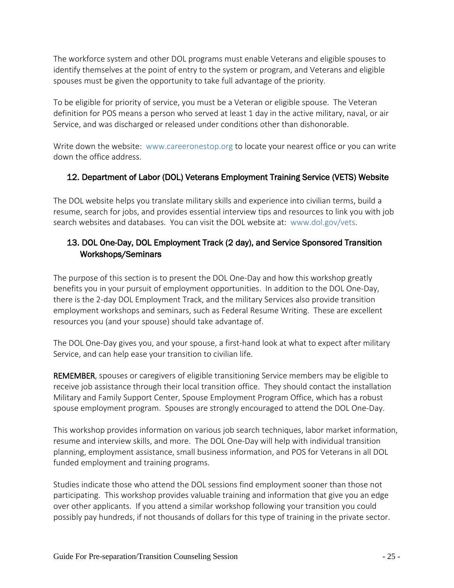The workforce system and other DOL programs must enable Veterans and eligible spouses to identify themselves at the point of entry to the system or program, and Veterans and eligible spouses must be given the opportunity to take full advantage of the priority.

To be eligible for priority of service, you must be a Veteran or eligible spouse. The Veteran definition for POS means a person who served at least 1 day in the active military, naval, or air Service, and was discharged or released under conditions other than dishonorable.

Write down the website: www.careeronestop.org to locate your nearest office or you can write down the office address.

# <span id="page-24-0"></span>12. Department of Labor (DOL) Veterans Employment Training Service (VETS) Website

The DOL website helps you translate military skills and experience into civilian terms, build a resume, search for jobs, and provides essential interview tips and resources to link you with job search websites and databases. You can visit the DOL website at: www.dol.gov/vets.

# <span id="page-24-1"></span>13. DOL One-Day, DOL Employment Track (2 day), and Service Sponsored Transition Workshops/Seminars

The purpose of this section is to present the DOL One-Day and how this workshop greatly benefits you in your pursuit of employment opportunities. In addition to the DOL One-Day, there is the 2-day DOL Employment Track, and the military Services also provide transition employment workshops and seminars, such as Federal Resume Writing. These are excellent resources you (and your spouse) should take advantage of.

The DOL One-Day gives you, and your spouse, a first-hand look at what to expect after military Service, and can help ease your transition to civilian life.

REMEMBER, spouses or caregivers of eligible transitioning Service members may be eligible to receive job assistance through their local transition office. They should contact the installation Military and Family Support Center, Spouse Employment Program Office, which has a robust spouse employment program. Spouses are strongly encouraged to attend the DOL One-Day.

This workshop provides information on various job search techniques, labor market information, resume and interview skills, and more. The DOL One-Day will help with individual transition planning, employment assistance, small business information, and POS for Veterans in all DOL funded employment and training programs.

Studies indicate those who attend the DOL sessions find employment sooner than those not participating. This workshop provides valuable training and information that give you an edge over other applicants. If you attend a similar workshop following your transition you could possibly pay hundreds, if not thousands of dollars for this type of training in the private sector.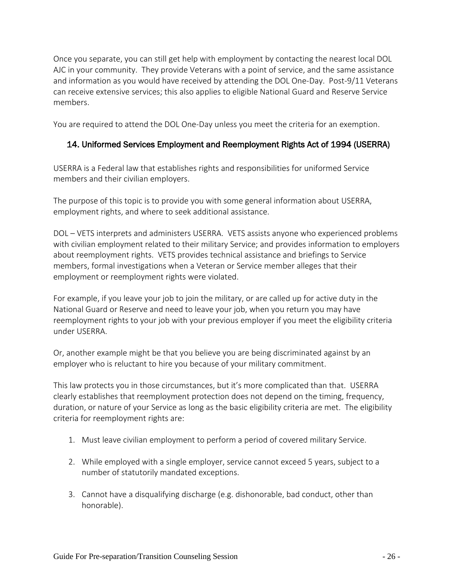Once you separate, you can still get help with employment by contacting the nearest local DOL AJC in your community. They provide Veterans with a point of service, and the same assistance and information as you would have received by attending the DOL One-Day. Post-9/11 Veterans can receive extensive services; this also applies to eligible National Guard and Reserve Service members.

<span id="page-25-0"></span>You are required to attend the DOL One-Day unless you meet the criteria for an exemption.

#### 14. Uniformed Services Employment and Reemployment Rights Act of 1994 (USERRA)

USERRA is a Federal law that establishes rights and responsibilities for uniformed Service members and their civilian employers.

The purpose of this topic is to provide you with some general information about USERRA, employment rights, and where to seek additional assistance.

DOL – VETS interprets and administers USERRA. VETS assists anyone who experienced problems with civilian employment related to their military Service; and provides information to employers about reemployment rights. VETS provides technical assistance and briefings to Service members, formal investigations when a Veteran or Service member alleges that their employment or reemployment rights were violated.

For example, if you leave your job to join the military, or are called up for active duty in the National Guard or Reserve and need to leave your job, when you return you may have reemployment rights to your job with your previous employer if you meet the eligibility criteria under USERRA.

Or, another example might be that you believe you are being discriminated against by an employer who is reluctant to hire you because of your military commitment.

This law protects you in those circumstances, but it's more complicated than that. USERRA clearly establishes that reemployment protection does not depend on the timing, frequency, duration, or nature of your Service as long as the basic eligibility criteria are met. The eligibility criteria for reemployment rights are:

- 1. Must leave civilian employment to perform a period of covered military Service.
- 2. While employed with a single employer, service cannot exceed 5 years, subject to a number of statutorily mandated exceptions.
- 3. Cannot have a disqualifying discharge (e.g. dishonorable, bad conduct, other than honorable).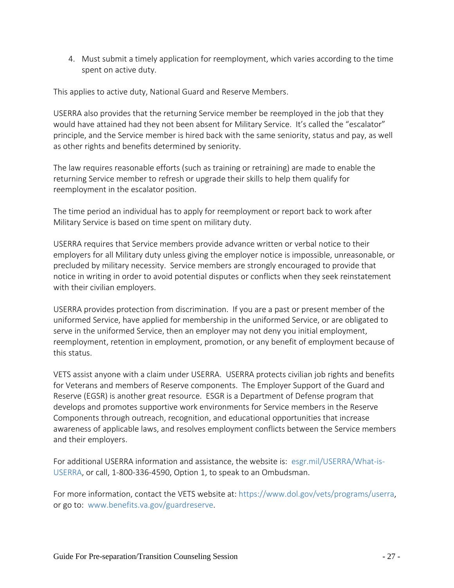4. Must submit a timely application for reemployment, which varies according to the time spent on active duty.

This applies to active duty, National Guard and Reserve Members.

USERRA also provides that the returning Service member be reemployed in the job that they would have attained had they not been absent for Military Service. It's called the "escalator" principle, and the Service member is hired back with the same seniority, status and pay, as well as other rights and benefits determined by seniority.

The law requires reasonable efforts (such as training or retraining) are made to enable the returning Service member to refresh or upgrade their skills to help them qualify for reemployment in the escalator position.

The time period an individual has to apply for reemployment or report back to work after Military Service is based on time spent on military duty.

USERRA requires that Service members provide advance written or verbal notice to their employers for all Military duty unless giving the employer notice is impossible, unreasonable, or precluded by military necessity. Service members are strongly encouraged to provide that notice in writing in order to avoid potential disputes or conflicts when they seek reinstatement with their civilian employers.

USERRA provides protection from discrimination. If you are a past or present member of the uniformed Service, have applied for membership in the uniformed Service, or are obligated to serve in the uniformed Service, then an employer may not deny you initial employment, reemployment, retention in employment, promotion, or any benefit of employment because of this status.

VETS assist anyone with a claim under USERRA. USERRA protects civilian job rights and benefits for Veterans and members of Reserve components. The Employer Support of the Guard and Reserve (EGSR) is another great resource. ESGR is a Department of Defense program that develops and promotes supportive work environments for Service members in the Reserve Components through outreach, recognition, and educational opportunities that increase awareness of applicable laws, and resolves employment conflicts between the Service members and their employers.

For additional USERRA information and assistance, the website is: esgr.mil/USERRA/What-is-USERRA, or call, 1-800-336-4590, Option 1, to speak to an Ombudsman.

For more information, contact the VETS website at: https://www.dol.gov/vets/programs/userra, or go to: [www.benefits.va.gov/guardreserve.](http://www.benefits.va.gov/guardreserve)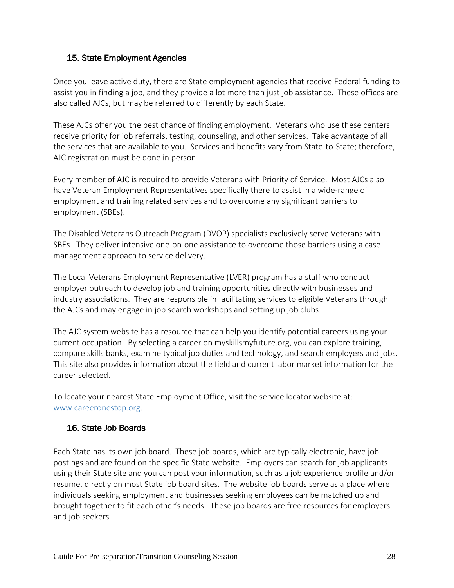#### <span id="page-27-0"></span>15. State Employment Agencies

Once you leave active duty, there are State employment agencies that receive Federal funding to assist you in finding a job, and they provide a lot more than just job assistance. These offices are also called AJCs, but may be referred to differently by each State.

These AJCs offer you the best chance of finding employment. Veterans who use these centers receive priority for job referrals, testing, counseling, and other services. Take advantage of all the services that are available to you. Services and benefits vary from State-to-State; therefore, AJC registration must be done in person.

Every member of AJC is required to provide Veterans with Priority of Service. Most AJCs also have Veteran Employment Representatives specifically there to assist in a wide-range of employment and training related services and to overcome any significant barriers to employment (SBEs).

The Disabled Veterans Outreach Program (DVOP) specialists exclusively serve Veterans with SBEs. They deliver intensive one-on-one assistance to overcome those barriers using a case management approach to service delivery.

The Local Veterans Employment Representative (LVER) program has a staff who conduct employer outreach to develop job and training opportunities directly with businesses and industry associations. They are responsible in facilitating services to eligible Veterans through the AJCs and may engage in job search workshops and setting up job clubs.

The AJC system website has a resource that can help you identify potential careers using your current occupation. By selecting a career on myskillsmyfuture.org, you can explore training, compare skills banks, examine typical job duties and technology, and search employers and jobs. This site also provides information about the field and current labor market information for the career selected.

To locate your nearest State Employment Office, visit the service locator website at: www.careeronestop.org.

#### <span id="page-27-1"></span>16. State Job Boards

Each State has its own job board. These job boards, which are typically electronic, have job postings and are found on the specific State website. Employers can search for job applicants using their State site and you can post your information, such as a job experience profile and/or resume, directly on most State job board sites. The website job boards serve as a place where individuals seeking employment and businesses seeking employees can be matched up and brought together to fit each other's needs. These job boards are free resources for employers and job seekers.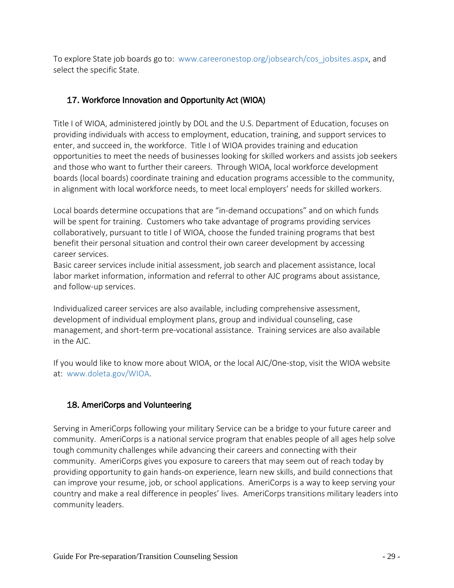To explore State job boards go to: www.careeronestop.org/jobsearch/cos\_jobsites.aspx, and select the specific State.

# 17. Workforce Innovation and Opportunity Act (WIOA)

Title I of WIOA, administered jointly by DOL and the U.S. Department of Education, focuses on providing individuals with access to employment, education, training, and support services to enter, and succeed in, the workforce. Title I of WIOA provides training and education opportunities to meet the needs of businesses looking for skilled workers and assists job seekers and those who want to further their careers. Through WIOA, local workforce development boards (local boards) coordinate training and education programs accessible to the community, in alignment with local workforce needs, to meet local employers' needs for skilled workers.

Local boards determine occupations that are "in-demand occupations" and on which funds will be spent for training. Customers who take advantage of programs providing services collaboratively, pursuant to title I of WIOA, choose the funded training programs that best benefit their personal situation and control their own career development by accessing career services.

Basic career services include initial assessment, job search and placement assistance, local labor market information, information and referral to other AJC programs about assistance, and follow-up services.

Individualized career services are also available, including comprehensive assessment, development of individual employment plans, group and individual counseling, case management, and short-term pre-vocational assistance. Training services are also available in the AJC.

If you would like to know more about WIOA, or the local AJC/One-stop, visit the WIOA website at: [www.doleta.gov/WIOA.](http://www.doleta.gov/WIOA)

# <span id="page-28-0"></span>18. AmeriCorps and Volunteering

Serving in AmeriCorps following your military Service can be a bridge to your future career and community. AmeriCorps is a national service program that enables people of all ages help solve tough community challenges while advancing their careers and connecting with their community. AmeriCorps gives you exposure to careers that may seem out of reach today by providing opportunity to gain hands-on experience, learn new skills, and build connections that can improve your resume, job, or school applications. AmeriCorps is a way to keep serving your country and make a real difference in peoples' lives. AmeriCorps transitions military leaders into community leaders.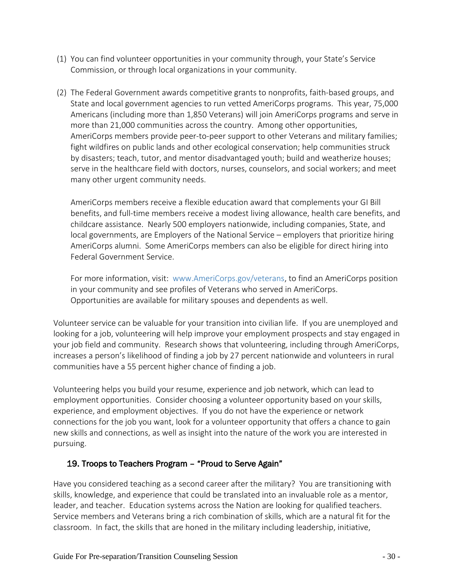- (1) You can find volunteer opportunities in your community through, your State's Service Commission, or through local organizations in your community.
- (2) The Federal Government awards competitive grants to nonprofits, faith-based groups, and State and local government agencies to run vetted AmeriCorps programs. This year, 75,000 Americans (including more than 1,850 Veterans) will join AmeriCorps programs and serve in more than 21,000 communities across the country. Among other opportunities, AmeriCorps members provide peer-to-peer support to other Veterans and military families; fight wildfires on public lands and other ecological conservation; help communities struck by disasters; teach, tutor, and mentor disadvantaged youth; build and weatherize houses; serve in the healthcare field with doctors, nurses, counselors, and social workers; and meet many other urgent community needs.

AmeriCorps members receive a flexible education award that complements your GI Bill benefits, and full-time members receive a modest living allowance, health care benefits, and childcare assistance. Nearly 500 employers nationwide, including companies, State, and local governments, are Employers of the National Service – employers that prioritize hiring AmeriCorps alumni. Some AmeriCorps members can also be eligible for direct hiring into Federal Government Service.

For more information, visit: www.AmeriCorps.gov/veterans, to find an AmeriCorps position in your community and see profiles of Veterans who served in AmeriCorps. Opportunities are available for military spouses and dependents as well.

Volunteer service can be valuable for your transition into civilian life. If you are unemployed and looking for a job, volunteering will help improve your employment prospects and stay engaged in your job field and community. Research shows that volunteering, including through AmeriCorps, increases a person's likelihood of finding a job by 27 percent nationwide and volunteers in rural communities have a 55 percent higher chance of finding a job.

Volunteering helps you build your resume, experience and job network, which can lead to employment opportunities. Consider choosing a volunteer opportunity based on your skills, experience, and employment objectives. If you do not have the experience or network connections for the job you want, look for a volunteer opportunity that offers a chance to gain new skills and connections, as well as insight into the nature of the work you are interested in pursuing.

#### 19. Troops to Teachers Program – "Proud to Serve Again"

Have you considered teaching as a second career after the military? You are transitioning with skills, knowledge, and experience that could be translated into an invaluable role as a mentor, leader, and teacher. Education systems across the Nation are looking for qualified teachers. Service members and Veterans bring a rich combination of skills, which are a natural fit for the classroom. In fact, the skills that are honed in the military including leadership, initiative,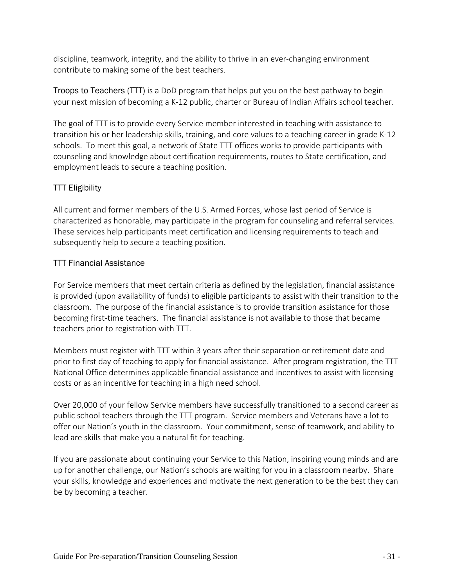discipline, teamwork, integrity, and the ability to thrive in an ever-changing environment contribute to making some of the best teachers.

Troops to Teachers (TTT) is a DoD program that helps put you on the best pathway to begin your next mission of becoming a K-12 public, charter or Bureau of Indian Affairs school teacher.

The goal of TTT is to provide every Service member interested in teaching with assistance to transition his or her leadership skills, training, and core values to a teaching career in grade K-12 schools. To meet this goal, a network of State TTT offices works to provide participants with counseling and knowledge about certification requirements, routes to State certification, and employment leads to secure a teaching position.

#### TTT Eligibility

All current and former members of the U.S. Armed Forces, whose last period of Service is characterized as honorable, may participate in the program for counseling and referral services. These services help participants meet certification and licensing requirements to teach and subsequently help to secure a teaching position.

#### TTT Financial Assistance

For Service members that meet certain criteria as defined by the legislation, financial assistance is provided (upon availability of funds) to eligible participants to assist with their transition to the classroom. The purpose of the financial assistance is to provide transition assistance for those becoming first-time teachers. The financial assistance is not available to those that became teachers prior to registration with TTT.

Members must register with TTT within 3 years after their separation or retirement date and prior to first day of teaching to apply for financial assistance. After program registration, the TTT National Office determines applicable financial assistance and incentives to assist with licensing costs or as an incentive for teaching in a high need school.

Over 20,000 of your fellow Service members have successfully transitioned to a second career as public school teachers through the TTT program. Service members and Veterans have a lot to offer our Nation's youth in the classroom. Your commitment, sense of teamwork, and ability to lead are skills that make you a natural fit for teaching.

If you are passionate about continuing your Service to this Nation, inspiring young minds and are up for another challenge, our Nation's schools are waiting for you in a classroom nearby. Share your skills, knowledge and experiences and motivate the next generation to be the best they can be by becoming a teacher.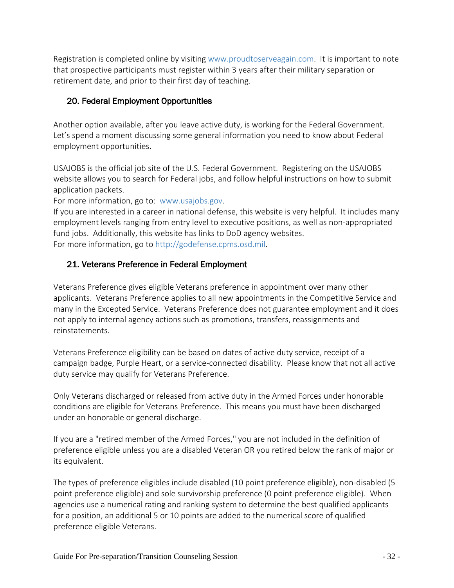Registration is completed online by visiting www.proudtoserveagain.com. It is important to note that prospective participants must register within 3 years after their military separation or retirement date, and prior to their first day of teaching.

# <span id="page-31-0"></span>20. Federal Employment Opportunities

Another option available, after you leave active duty, is working for the Federal Government. Let's spend a moment discussing some general information you need to know about Federal employment opportunities.

USAJOBS is the official job site of the U.S. Federal Government. Registering on the USAJOBS website allows you to search for Federal jobs, and follow helpful instructions on how to submit application packets.

For more information, go to: [www.usajobs.gov.](http://www.usajobs.gov/)

If you are interested in a career in national defense, this website is very helpful. It includes many employment levels ranging from entry level to executive positions, as well as non-appropriated fund jobs. Additionally, this website has links to DoD agency websites. For more information, go to http://godefense.cpms.osd.mil.

# <span id="page-31-1"></span>21. Veterans Preference in Federal Employment

Veterans Preference gives eligible Veterans preference in appointment over many other applicants. Veterans Preference applies to all new appointments in the Competitive Service and many in the Excepted Service. Veterans Preference does not guarantee employment and it does not apply to internal agency actions such as promotions, transfers, reassignments and reinstatements.

Veterans Preference eligibility can be based on dates of active duty service, receipt of a campaign badge, Purple Heart, or a service-connected disability. Please know that not all active duty service may qualify for Veterans Preference.

Only Veterans discharged or released from active duty in the Armed Forces under honorable conditions are eligible for Veterans Preference. This means you must have been discharged under an honorable or general discharge.

If you are a "retired member of the Armed Forces," you are not included in the definition of preference eligible unless you are a disabled Veteran OR you retired below the rank of major or its equivalent.

The types of preference eligibles include disabled (10 point preference eligible), non-disabled (5 point preference eligible) and sole survivorship preference (0 point preference eligible). When agencies use a numerical rating and ranking system to determine the best qualified applicants for a position, an additional 5 or 10 points are added to the numerical score of qualified preference eligible Veterans.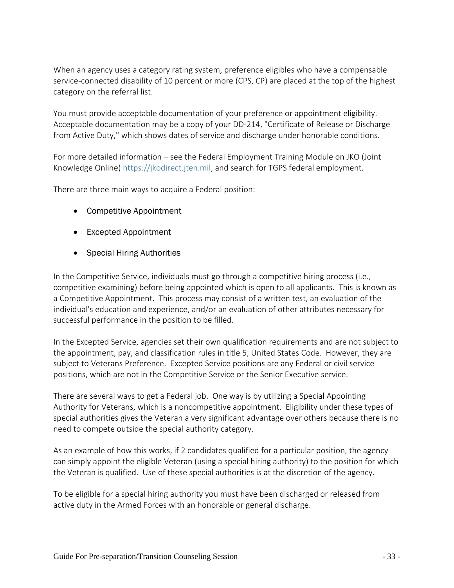When an agency uses a category rating system, preference eligibles who have a compensable service-connected disability of 10 percent or more (CPS, CP) are placed at the top of the highest category on the referral list.

You must provide acceptable documentation of your preference or appointment eligibility. Acceptable documentation may be a copy of your DD-214, "Certificate of Release or Discharge from Active Duty," which shows dates of service and discharge under honorable conditions.

For more detailed information – see the Federal Employment Training Module on JKO (Joint Knowledge Online) [https://jkodirect.jten.mil,](https://jkodirect.jten.mil/) and search for TGPS federal employment.

There are three main ways to acquire a Federal position:

- Competitive Appointment
- Excepted Appointment
- Special Hiring Authorities

In the Competitive Service, individuals must go through a competitive hiring process (i.e., competitive examining) before being appointed which is open to all applicants. This is known as a Competitive Appointment. This process may consist of a written test, an evaluation of the individual's education and experience, and/or an evaluation of other attributes necessary for successful performance in the position to be filled.

In the Excepted Service, agencies set their own qualification requirements and are not subject to the appointment, pay, and classification rules in title 5, United States Code. However, they are subject to Veterans Preference. Excepted Service positions are any Federal or civil service positions, which are not in the Competitive Service or the Senior Executive service.

There are several ways to get a Federal job. One way is by utilizing a Special Appointing Authority for Veterans, which is a noncompetitive appointment. Eligibility under these types of special authorities gives the Veteran a very significant advantage over others because there is no need to compete outside the special authority category.

As an example of how this works, if 2 candidates qualified for a particular position, the agency can simply appoint the eligible Veteran (using a special hiring authority) to the position for which the Veteran is qualified. Use of these special authorities is at the discretion of the agency.

To be eligible for a special hiring authority you must have been discharged or released from active duty in the Armed Forces with an honorable or general discharge.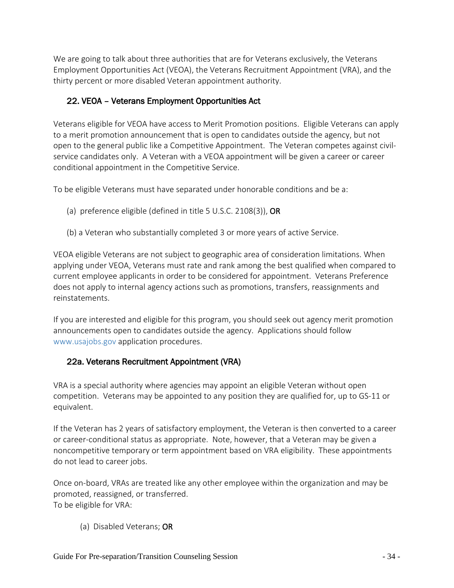We are going to talk about three authorities that are for Veterans exclusively, the Veterans Employment Opportunities Act (VEOA), the Veterans Recruitment Appointment (VRA), and the thirty percent or more disabled Veteran appointment authority.

# <span id="page-33-0"></span>22. VEOA – Veterans Employment Opportunities Act

Veterans eligible for VEOA have access to Merit Promotion positions. Eligible Veterans can apply to a merit promotion announcement that is open to candidates outside the agency, but not open to the general public like a Competitive Appointment. The Veteran competes against civilservice candidates only. A Veteran with a VEOA appointment will be given a career or career conditional appointment in the Competitive Service.

To be eligible Veterans must have separated under honorable conditions and be a:

- (a) preference eligible (defined in title 5 U.S.C. 2108(3)), OR
- (b) a Veteran who substantially completed 3 or more years of active Service.

VEOA eligible Veterans are not subject to geographic area of consideration limitations. When applying under VEOA, Veterans must rate and rank among the best qualified when compared to current employee applicants in order to be considered for appointment. Veterans Preference does not apply to internal agency actions such as promotions, transfers, reassignments and reinstatements.

If you are interested and eligible for this program, you should seek out agency merit promotion announcements open to candidates outside the agency. Applications should follow www.usajobs.gov application procedures.

#### <span id="page-33-1"></span>22a. Veterans Recruitment Appointment (VRA)

VRA is a special authority where agencies may appoint an eligible Veteran without open competition. Veterans may be appointed to any position they are qualified for, up to GS-11 or equivalent.

If the Veteran has 2 years of satisfactory employment, the Veteran is then converted to a career or career-conditional status as appropriate. Note, however, that a Veteran may be given a noncompetitive temporary or term appointment based on VRA eligibility. These appointments do not lead to career jobs.

Once on-board, VRAs are treated like any other employee within the organization and may be promoted, reassigned, or transferred. To be eligible for VRA:

(a) Disabled Veterans; OR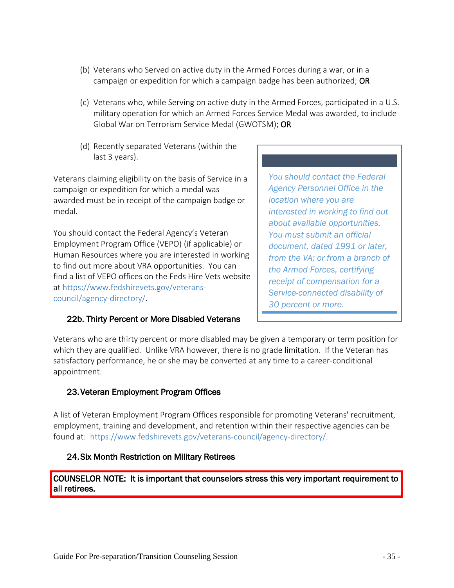- (b) Veterans who Served on active duty in the Armed Forces during a war, or in a campaign or expedition for which a campaign badge has been authorized; OR
- (c) Veterans who, while Serving on active duty in the Armed Forces, participated in a U.S. military operation for which an Armed Forces Service Medal was awarded, to include Global War on Terrorism Service Medal (GWOTSM); OR
- (d) Recently separated Veterans (within the last 3 years).

Veterans claiming eligibility on the basis of Service in a campaign or expedition for which a medal was awarded must be in receipt of the campaign badge or medal.

You should contact the Federal Agency's Veteran Employment Program Office (VEPO) (if applicable) or Human Resources where you are interested in working to find out more about VRA opportunities. You can find a list of VEPO offices on the Feds Hire Vets website at https://www.fedshirevets.gov/veteranscouncil/agency-directory/.

#### 22b. Thirty Percent or More Disabled Veterans

*You should contact the Federal Agency Personnel Office in the location where you are interested in working to find out about available opportunities. You must submit an official document, dated 1991 or later, from the VA; or from a branch of the Armed Forces, certifying receipt of compensation for a Service-connected disability of 30 percent or more.*

Veterans who are thirty percent or more disabled may be given a temporary or term position for which they are qualified. Unlike VRA however, there is no grade limitation. If the Veteran has satisfactory performance, he or she may be converted at any time to a career-conditional appointment.

#### <span id="page-34-0"></span>23.Veteran Employment Program Offices

A list of Veteran Employment Program Offices responsible for promoting Veterans' recruitment, employment, training and development, and retention within their respective agencies can be found at: [https://www.fedshirevets.gov/veterans-council/agency-directory/.](https://www.fedshirevets.gov/veterans-council/agency-directory/)

#### <span id="page-34-1"></span>24.Six Month Restriction on Military Retirees

COUNSELOR NOTE: It is important that counselors stress this very important requirement to all retirees.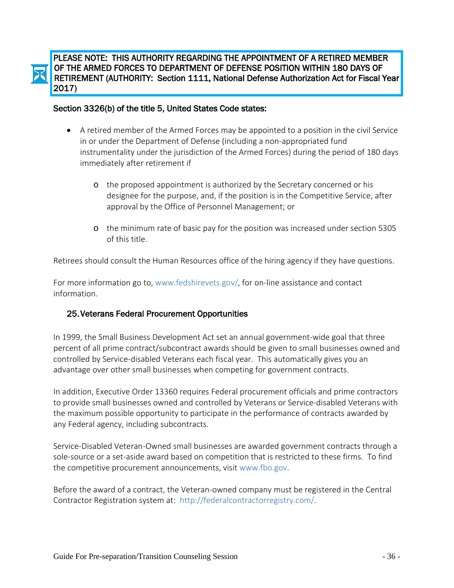

PLEASE NOTE: THIS AUTHORITY REGARDING THE APPOINTMENT OF A RETIRED MEMBER OF THE ARMED FORCES TO DEPARTMENT OF DEFENSE POSITION WITHIN 180 DAYS OF RETIREMENT (AUTHORITY: Section 1111, National Defense Authorization Act for Fiscal Year 2017)

#### Ĩ Section 3326(b) of the title 5, United States Code states:

- A retired member of the Armed Forces may be appointed to a position in the civil Service in or under the Department of Defense (including a non-appropriated fund instrumentality under the jurisdiction of the Armed Forces) during the period of 180 days immediately after retirement if
	- o the proposed appointment is authorized by the Secretary concerned or his designee for the purpose, and, if the position is in the Competitive Service, after approval by the Office of Personnel Management; or
	- o the minimum rate of basic pay for the position was increased under section 5305 of this title.

Retirees should consult the Human Resources office of the hiring agency if they have questions.

For more information go to, www.fedshirevets.gov/, for on-line assistance and contact information.

#### <span id="page-35-0"></span>25.Veterans Federal Procurement Opportunities

In 1999, the Small Business Development Act set an annual government-wide goal that three percent of all prime contract/subcontract awards should be given to small businesses owned and controlled by Service-disabled Veterans each fiscal year. This automatically gives you an advantage over other small businesses when competing for government contracts.

In addition, Executive Order 13360 requires Federal procurement officials and prime contractors to provide small businesses owned and controlled by Veterans or Service-disabled Veterans with the maximum possible opportunity to participate in the performance of contracts awarded by any Federal agency, including subcontracts.

Service-Disabled Veteran-Owned small businesses are awarded government contracts through a sole-source or a set-aside award based on competition that is restricted to these firms. To find the competitive procurement announcements, visit www.fbo.gov.

Before the award of a contract, the Veteran-owned company must be registered in the Central Contractor Registration system at: http://federalcontractorregistry.com/.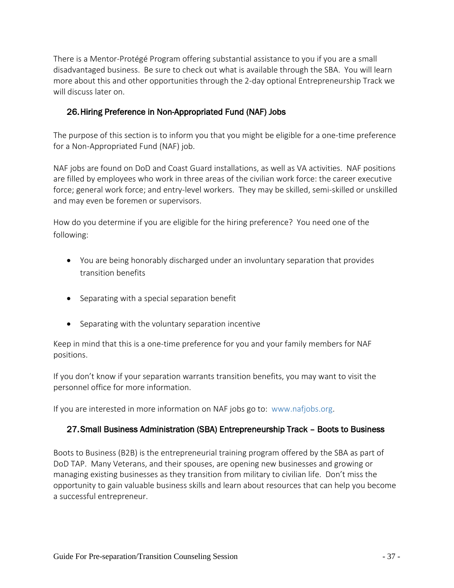There is a Mentor-Protégé Program offering substantial assistance to you if you are a small disadvantaged business. Be sure to check out what is available through the SBA. You will learn more about this and other opportunities through the 2-day optional Entrepreneurship Track we will discuss later on.

#### <span id="page-36-0"></span>26.Hiring Preference in Non-Appropriated Fund (NAF) Jobs

The purpose of this section is to inform you that you might be eligible for a one-time preference for a Non-Appropriated Fund (NAF) job.

NAF jobs are found on DoD and Coast Guard installations, as well as VA activities. NAF positions are filled by employees who work in three areas of the civilian work force: the career executive force; general work force; and entry-level workers. They may be skilled, semi-skilled or unskilled and may even be foremen or supervisors.

How do you determine if you are eligible for the hiring preference? You need one of the following:

- You are being honorably discharged under an involuntary separation that provides transition benefits
- Separating with a special separation benefit
- Separating with the voluntary separation incentive

Keep in mind that this is a one-time preference for you and your family members for NAF positions.

If you don't know if your separation warrants transition benefits, you may want to visit the personnel office for more information.

<span id="page-36-1"></span>If you are interested in more information on NAF jobs go to: www.nafjobs.org.

#### 27.Small Business Administration (SBA) Entrepreneurship Track – Boots to Business

Boots to Business (B2B) is the entrepreneurial training program offered by the SBA as part of DoD TAP. Many Veterans, and their spouses, are opening new businesses and growing or managing existing businesses as they transition from military to civilian life. Don't miss the opportunity to gain valuable business skills and learn about resources that can help you become a successful entrepreneur.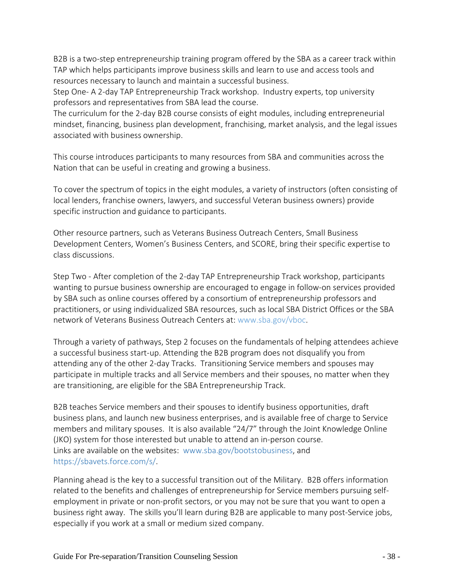B2B is a two-step entrepreneurship training program offered by the SBA as a career track within TAP which helps participants improve business skills and learn to use and access tools and resources necessary to launch and maintain a successful business.

Step One- A 2-day TAP Entrepreneurship Track workshop. Industry experts, top university professors and representatives from SBA lead the course.

The curriculum for the 2-day B2B course consists of eight modules, including entrepreneurial mindset, financing, business plan development, franchising, market analysis, and the legal issues associated with business ownership.

This course introduces participants to many resources from SBA and communities across the Nation that can be useful in creating and growing a business.

To cover the spectrum of topics in the eight modules, a variety of instructors (often consisting of local lenders, franchise owners, lawyers, and successful Veteran business owners) provide specific instruction and guidance to participants.

Other resource partners, such as Veterans Business Outreach Centers, Small Business Development Centers, Women's Business Centers, and SCORE, bring their specific expertise to class discussions.

Step Two - After completion of the 2-day TAP Entrepreneurship Track workshop, participants wanting to pursue business ownership are encouraged to engage in follow-on services provided by SBA such as online courses offered by a consortium of entrepreneurship professors and practitioners, or using individualized SBA resources, such as local SBA District Offices or the SBA network of Veterans Business Outreach Centers at: [www.sba.gov/vboc.](http://www.sba.gov/vboc)

Through a variety of pathways, Step 2 focuses on the fundamentals of helping attendees achieve a successful business start-up. Attending the B2B program does not disqualify you from attending any of the other 2-day Tracks. Transitioning Service members and spouses may participate in multiple tracks and all Service members and their spouses, no matter when they are transitioning, are eligible for the SBA Entrepreneurship Track.

B2B teaches Service members and their spouses to identify business opportunities, draft business plans, and launch new business enterprises, and is available free of charge to Service members and military spouses. It is also available "24/7" through the Joint Knowledge Online (JKO) system for those interested but unable to attend an in-person course. Links are available on the websites: www.sba.gov/bootstobusiness, and [https://sbavets.force.com/s/.](https://sbavets.force.com/s/)

Planning ahead is the key to a successful transition out of the Military. B2B offers information related to the benefits and challenges of entrepreneurship for Service members pursuing selfemployment in private or non-profit sectors, or you may not be sure that you want to open a business right away. The skills you'll learn during B2B are applicable to many post-Service jobs, especially if you work at a small or medium sized company.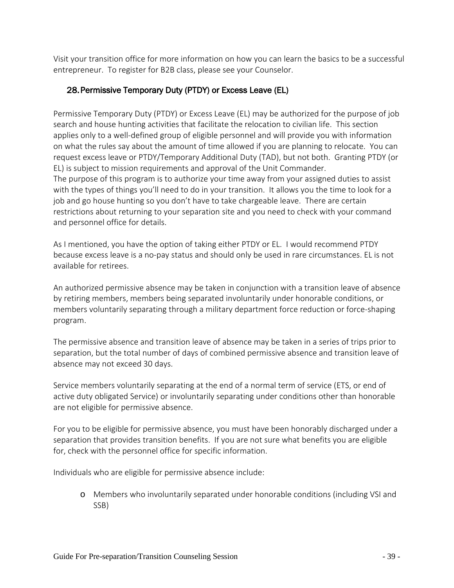Visit your transition office for more information on how you can learn the basics to be a successful entrepreneur. To register for B2B class, please see your Counselor.

#### <span id="page-38-0"></span>28.Permissive Temporary Duty (PTDY) or Excess Leave (EL)

Permissive Temporary Duty (PTDY) or Excess Leave (EL) may be authorized for the purpose of job search and house hunting activities that facilitate the relocation to civilian life. This section applies only to a well-defined group of eligible personnel and will provide you with information on what the rules say about the amount of time allowed if you are planning to relocate. You can request excess leave or PTDY/Temporary Additional Duty (TAD), but not both. Granting PTDY (or EL) is subject to mission requirements and approval of the Unit Commander. The purpose of this program is to authorize your time away from your assigned duties to assist with the types of things you'll need to do in your transition. It allows you the time to look for a job and go house hunting so you don't have to take chargeable leave. There are certain restrictions about returning to your separation site and you need to check with your command and personnel office for details.

As I mentioned, you have the option of taking either PTDY or EL. I would recommend PTDY because excess leave is a no-pay status and should only be used in rare circumstances. EL is not available for retirees.

An authorized permissive absence may be taken in conjunction with a transition leave of absence by retiring members, members being separated involuntarily under honorable conditions, or members voluntarily separating through a military department force reduction or force-shaping program.

The permissive absence and transition leave of absence may be taken in a series of trips prior to separation, but the total number of days of combined permissive absence and transition leave of absence may not exceed 30 days.

Service members voluntarily separating at the end of a normal term of service (ETS, or end of active duty obligated Service) or involuntarily separating under conditions other than honorable are not eligible for permissive absence.

For you to be eligible for permissive absence, you must have been honorably discharged under a separation that provides transition benefits. If you are not sure what benefits you are eligible for, check with the personnel office for specific information.

Individuals who are eligible for permissive absence include:

o Members who involuntarily separated under honorable conditions (including VSI and SSB)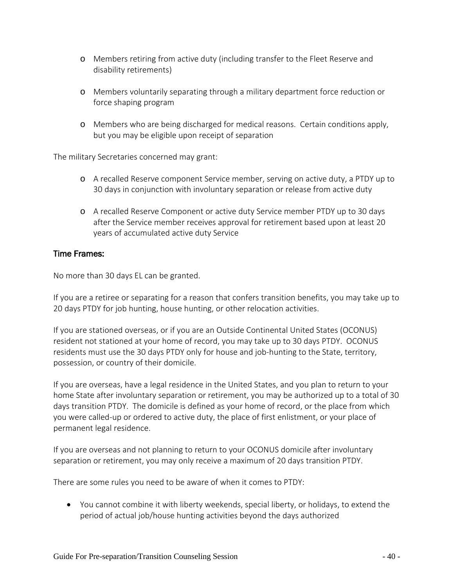- o Members retiring from active duty (including transfer to the Fleet Reserve and disability retirements)
- o Members voluntarily separating through a military department force reduction or force shaping program
- o Members who are being discharged for medical reasons. Certain conditions apply, but you may be eligible upon receipt of separation

The military Secretaries concerned may grant:

- o A recalled Reserve component Service member, serving on active duty, a PTDY up to 30 days in conjunction with involuntary separation or release from active duty
- o A recalled Reserve Component or active duty Service member PTDY up to 30 days after the Service member receives approval for retirement based upon at least 20 years of accumulated active duty Service

#### Time Frames:

No more than 30 days EL can be granted.

If you are a retiree or separating for a reason that confers transition benefits, you may take up to 20 days PTDY for job hunting, house hunting, or other relocation activities.

If you are stationed overseas, or if you are an Outside Continental United States (OCONUS) resident not stationed at your home of record, you may take up to 30 days PTDY. OCONUS residents must use the 30 days PTDY only for house and job-hunting to the State, territory, possession, or country of their domicile.

If you are overseas, have a legal residence in the United States, and you plan to return to your home State after involuntary separation or retirement, you may be authorized up to a total of 30 days transition PTDY. The domicile is defined as your home of record, or the place from which you were called-up or ordered to active duty, the place of first enlistment, or your place of permanent legal residence.

If you are overseas and not planning to return to your OCONUS domicile after involuntary separation or retirement, you may only receive a maximum of 20 days transition PTDY.

There are some rules you need to be aware of when it comes to PTDY:

• You cannot combine it with liberty weekends, special liberty, or holidays, to extend the period of actual job/house hunting activities beyond the days authorized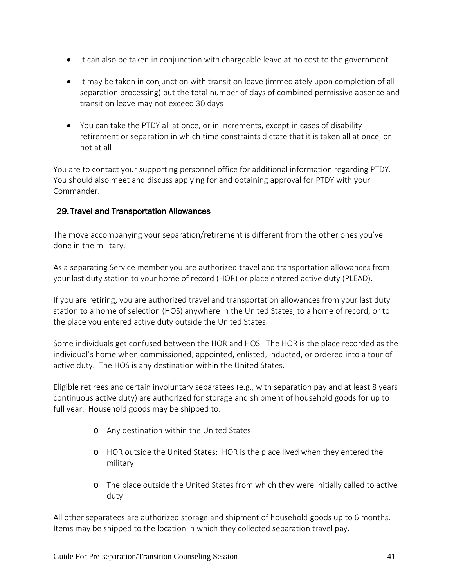- It can also be taken in conjunction with chargeable leave at no cost to the government
- It may be taken in conjunction with transition leave (immediately upon completion of all separation processing) but the total number of days of combined permissive absence and transition leave may not exceed 30 days
- You can take the PTDY all at once, or in increments, except in cases of disability retirement or separation in which time constraints dictate that it is taken all at once, or not at all

You are to contact your supporting personnel office for additional information regarding PTDY. You should also meet and discuss applying for and obtaining approval for PTDY with your Commander.

#### <span id="page-40-0"></span>29.Travel and Transportation Allowances

The move accompanying your separation/retirement is different from the other ones you've done in the military.

As a separating Service member you are authorized travel and transportation allowances from your last duty station to your home of record (HOR) or place entered active duty (PLEAD).

If you are retiring, you are authorized travel and transportation allowances from your last duty station to a home of selection (HOS) anywhere in the United States, to a home of record, or to the place you entered active duty outside the United States.

Some individuals get confused between the HOR and HOS. The HOR is the place recorded as the individual's home when commissioned, appointed, enlisted, inducted, or ordered into a tour of active duty. The HOS is any destination within the United States.

Eligible retirees and certain involuntary separatees (e.g., with separation pay and at least 8 years continuous active duty) are authorized for storage and shipment of household goods for up to full year. Household goods may be shipped to:

- o Any destination within the United States
- o HOR outside the United States: HOR is the place lived when they entered the military
- o The place outside the United States from which they were initially called to active duty

All other separatees are authorized storage and shipment of household goods up to 6 months. Items may be shipped to the location in which they collected separation travel pay.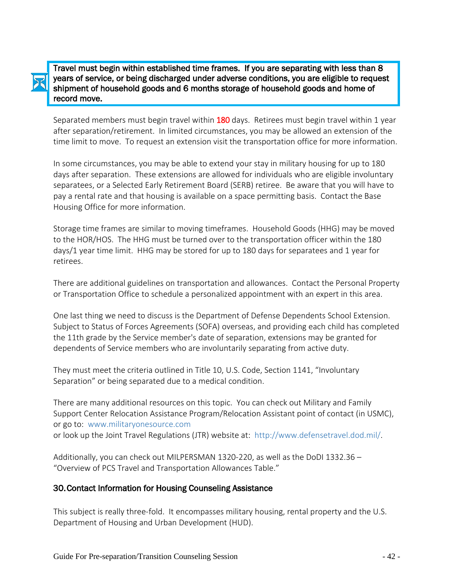Travel must begin within established time frames. If you are separating with less than 8 years of service, or being discharged under adverse conditions, you are eligible to request shipment of household goods and 6 months storage of household goods and home of record move.

Separated members must begin travel within 180 days. Retirees must begin travel within 1 year after separation/retirement. In limited circumstances, you may be allowed an extension of the time limit to move. To request an extension visit the transportation office for more information.

In some circumstances, you may be able to extend your stay in military housing for up to 180 days after separation. These extensions are allowed for individuals who are eligible involuntary separatees, or a Selected Early Retirement Board (SERB) retiree. Be aware that you will have to pay a rental rate and that housing is available on a space permitting basis. Contact the Base Housing Office for more information.

Storage time frames are similar to moving timeframes. Household Goods (HHG) may be moved to the HOR/HOS. The HHG must be turned over to the transportation officer within the 180 days/1 year time limit. HHG may be stored for up to 180 days for separatees and 1 year for retirees.

There are additional guidelines on transportation and allowances. Contact the Personal Property or Transportation Office to schedule a personalized appointment with an expert in this area.

One last thing we need to discuss is the Department of Defense Dependents School Extension. Subject to Status of Forces Agreements (SOFA) overseas, and providing each child has completed the 11th grade by the Service member's date of separation, extensions may be granted for dependents of Service members who are involuntarily separating from active duty.

They must meet the criteria outlined in Title 10, U.S. Code, Section 1141, "Involuntary Separation" or being separated due to a medical condition.

There are many additional resources on this topic. You can check out Military and Family Support Center Relocation Assistance Program/Relocation Assistant point of contact (in USMC), or go to: www.militaryonesource.com or look up the Joint Travel Regulations (JTR) website at: http://www.defensetravel.dod.mil/.

Additionally, you can check out MILPERSMAN 1320-220, as well as the DoDI 1332.36 – "Overview of PCS Travel and Transportation Allowances Table."

#### <span id="page-41-0"></span>30.Contact Information for Housing Counseling Assistance

This subject is really three-fold. It encompasses military housing, rental property and the U.S. Department of Housing and Urban Development (HUD).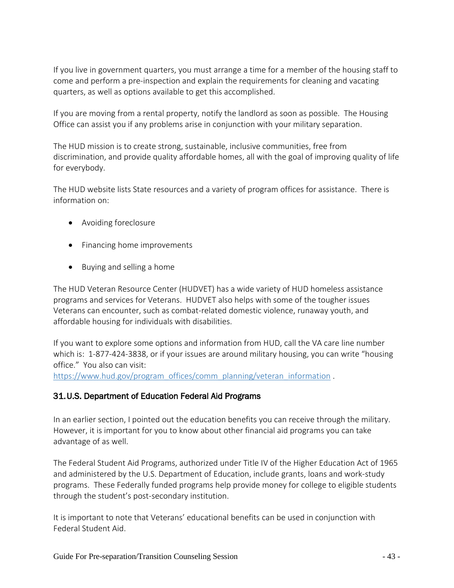If you live in government quarters, you must arrange a time for a member of the housing staff to come and perform a pre-inspection and explain the requirements for cleaning and vacating quarters, as well as options available to get this accomplished.

If you are moving from a rental property, notify the landlord as soon as possible. The Housing Office can assist you if any problems arise in conjunction with your military separation.

The HUD mission is to create strong, sustainable, inclusive communities, free from discrimination, and provide quality affordable homes, all with the goal of improving quality of life for everybody.

The HUD website lists State resources and a variety of program offices for assistance. There is information on:

- Avoiding foreclosure
- Financing home improvements
- Buying and selling a home

The HUD Veteran Resource Center (HUDVET) has a wide variety of HUD homeless assistance programs and services for Veterans. HUDVET also helps with some of the tougher issues Veterans can encounter, such as combat-related domestic violence, runaway youth, and affordable housing for individuals with disabilities.

If you want to explore some options and information from HUD, call the VA care line number which is: 1-877-424-3838, or if your issues are around military housing, you can write "housing office." You also can visit:

<span id="page-42-0"></span>[https://www.hud.gov/program\\_offices/comm\\_planning/veteran\\_information](https://www.hud.gov/program_offices/comm_planning/veteran_information) .

#### 31.U.S. Department of Education Federal Aid Programs

In an earlier section, I pointed out the education benefits you can receive through the military. However, it is important for you to know about other financial aid programs you can take advantage of as well.

The Federal Student Aid Programs, authorized under Title IV of the Higher Education Act of 1965 and administered by the U.S. Department of Education, include grants, loans and work-study programs. These Federally funded programs help provide money for college to eligible students through the student's post-secondary institution.

It is important to note that Veterans' educational benefits can be used in conjunction with Federal Student Aid.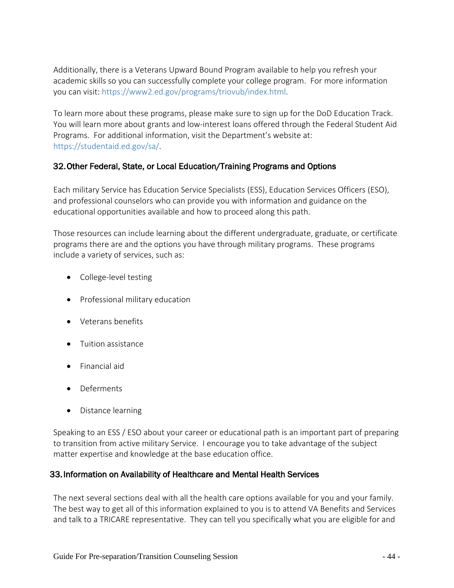Additionally, there is a Veterans Upward Bound Program available to help you refresh your academic skills so you can successfully complete your college program. For more information you can visit: https://www2.ed.gov/programs/triovub/index.html.

To learn more about these programs, please make sure to sign up for the DoD Education Track. You will learn more about grants and low-interest loans offered through the Federal Student Aid Programs. For additional information, visit the Department's website at: https://studentaid.ed.gov/sa/.

#### <span id="page-43-0"></span>32.Other Federal, State, or Local Education/Training Programs and Options

Each military Service has Education Service Specialists (ESS), Education Services Officers (ESO), and professional counselors who can provide you with information and guidance on the educational opportunities available and how to proceed along this path.

Those resources can include learning about the different undergraduate, graduate, or certificate programs there are and the options you have through military programs. These programs include a variety of services, such as:

- College-level testing
- Professional military education
- Veterans benefits
- Tuition assistance
- Financial aid
- Deferments
- Distance learning

Speaking to an ESS / ESO about your career or educational path is an important part of preparing to transition from active military Service. I encourage you to take advantage of the subject matter expertise and knowledge at the base education office.

#### <span id="page-43-1"></span>33.Information on Availability of Healthcare and Mental Health Services

The next several sections deal with all the health care options available for you and your family. The best way to get all of this information explained to you is to attend VA Benefits and Services and talk to a TRICARE representative. They can tell you specifically what you are eligible for and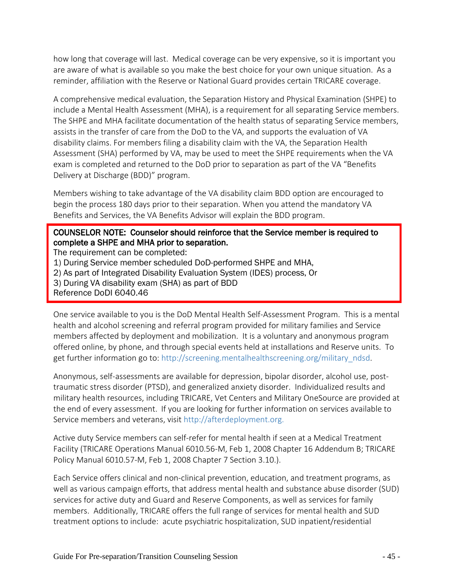how long that coverage will last. Medical coverage can be very expensive, so it is important you are aware of what is available so you make the best choice for your own unique situation. As a reminder, affiliation with the Reserve or National Guard provides certain TRICARE coverage.

A comprehensive medical evaluation, the Separation History and Physical Examination (SHPE) to include a Mental Health Assessment (MHA), is a requirement for all separating Service members. The SHPE and MHA facilitate documentation of the health status of separating Service members, assists in the transfer of care from the DoD to the VA, and supports the evaluation of VA disability claims. For members filing a disability claim with the VA, the Separation Health Assessment (SHA) performed by VA, may be used to meet the SHPE requirements when the VA exam is completed and returned to the DoD prior to separation as part of the VA "Benefits Delivery at Discharge (BDD)" program.

Members wishing to take advantage of the VA disability claim BDD option are encouraged to begin the process 180 days prior to their separation. When you attend the mandatory VA Benefits and Services, the VA Benefits Advisor will explain the BDD program.

#### COUNSELOR NOTE: Counselor should reinforce that the Service member is required to complete a SHPE and MHA prior to separation.

The requirement can be completed:

1) During Service member scheduled DoD-performed SHPE and MHA,

2) As part of Integrated Disability Evaluation System (IDES) process, Or

3) During VA disability exam (SHA) as part of BDD

Reference DoDI 6040.46

i

One service available to you is the DoD Mental Health Self-Assessment Program. This is a mental health and alcohol screening and referral program provided for military families and Service members affected by deployment and mobilization. It is a voluntary and anonymous program offered online, by phone, and through special events held at installations and Reserve units. To get further information go to: http://screening.mentalhealthscreening.org/military\_ndsd.

Anonymous, self-assessments are available for depression, bipolar disorder, alcohol use, posttraumatic stress disorder (PTSD), and generalized anxiety disorder. Individualized results and military health resources, including TRICARE, Vet Centers and Military OneSource are provided at the end of every assessment. If you are looking for further information on services available to Service members and veterans, visit http://afterdeployment.org.

Active duty Service members can self-refer for mental health if seen at a Medical Treatment Facility (TRICARE Operations Manual 6010.56-M, Feb 1, 2008 Chapter 16 Addendum B; TRICARE Policy Manual 6010.57-M, Feb 1, 2008 Chapter 7 Section 3.10.).

Each Service offers clinical and non-clinical prevention, education, and treatment programs, as well as various campaign efforts, that address mental health and substance abuse disorder (SUD) services for active duty and Guard and Reserve Components, as well as services for family members. Additionally, TRICARE offers the full range of services for mental health and SUD treatment options to include: acute psychiatric hospitalization, SUD inpatient/residential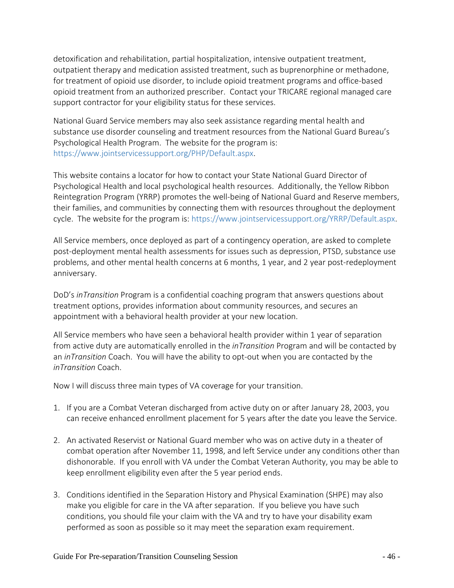detoxification and rehabilitation, partial hospitalization, intensive outpatient treatment, outpatient therapy and medication assisted treatment, such as buprenorphine or methadone, for treatment of opioid use disorder, to include opioid treatment programs and office-based opioid treatment from an authorized prescriber. Contact your TRICARE regional managed care support contractor for your eligibility status for these services.

National Guard Service members may also seek assistance regarding mental health and substance use disorder counseling and treatment resources from the National Guard Bureau's Psychological Health Program. The website for the program is: https://www.jointservicessupport.org/PHP/Default.aspx.

This website contains a locator for how to contact your State National Guard Director of Psychological Health and local psychological health resources. Additionally, the Yellow Ribbon Reintegration Program (YRRP) promotes the well-being of National Guard and Reserve members, their families, and communities by connecting them with resources throughout the deployment cycle. The website for the program is: https://www.jointservicessupport.org/YRRP/Default.aspx.

All Service members, once deployed as part of a contingency operation, are asked to complete post-deployment mental health assessments for issues such as depression, PTSD, substance use problems, and other mental health concerns at 6 months, 1 year, and 2 year post-redeployment anniversary.

DoD's *inTransition* Program is a confidential coaching program that answers questions about treatment options, provides information about community resources, and secures an appointment with a behavioral health provider at your new location.

All Service members who have seen a behavioral health provider within 1 year of separation from active duty are automatically enrolled in the *inTransition* Program and will be contacted by an *inTransition* Coach. You will have the ability to opt-out when you are contacted by the *inTransition* Coach.

Now I will discuss three main types of VA coverage for your transition.

- 1. If you are a Combat Veteran discharged from active duty on or after January 28, 2003, you can receive enhanced enrollment placement for 5 years after the date you leave the Service.
- 2. An activated Reservist or National Guard member who was on active duty in a theater of combat operation after November 11, 1998, and left Service under any conditions other than dishonorable. If you enroll with VA under the Combat Veteran Authority, you may be able to keep enrollment eligibility even after the 5 year period ends.
- 3. Conditions identified in the Separation History and Physical Examination (SHPE) may also make you eligible for care in the VA after separation. If you believe you have such conditions, you should file your claim with the VA and try to have your disability exam performed as soon as possible so it may meet the separation exam requirement.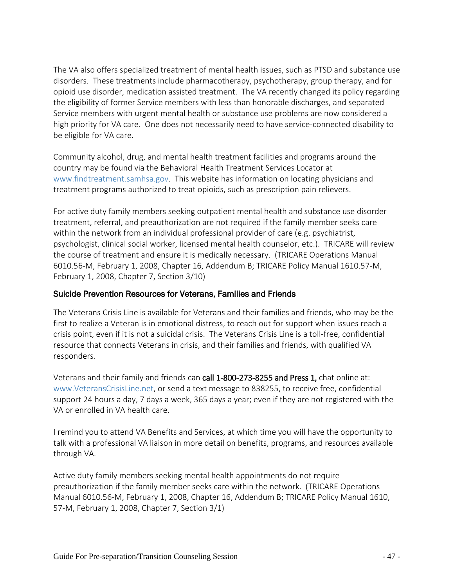The VA also offers specialized treatment of mental health issues, such as PTSD and substance use disorders. These treatments include pharmacotherapy, psychotherapy, group therapy, and for opioid use disorder, medication assisted treatment. The VA recently changed its policy regarding the eligibility of former Service members with less than honorable discharges, and separated Service members with urgent mental health or substance use problems are now considered a high priority for VA care. One does not necessarily need to have service-connected disability to be eligible for VA care.

Community alcohol, drug, and mental health treatment facilities and programs around the country may be found via the Behavioral Health Treatment Services Locator at www.findtreatment.samhsa.gov. This website has information on locating physicians and treatment programs authorized to treat opioids, such as prescription pain relievers.

For active duty family members seeking outpatient mental health and substance use disorder treatment, referral, and preauthorization are not required if the family member seeks care within the network from an individual professional provider of care (e.g. psychiatrist, psychologist, clinical social worker, licensed mental health counselor, etc.). TRICARE will review the course of treatment and ensure it is medically necessary. (TRICARE Operations Manual 6010.56-M, February 1, 2008, Chapter 16, Addendum B; TRICARE Policy Manual 1610.57-M, February 1, 2008, Chapter 7, Section 3/10)

#### Suicide Prevention Resources for Veterans, Families and Friends

The Veterans Crisis Line is available for Veterans and their families and friends, who may be the first to realize a Veteran is in emotional distress, to reach out for support when issues reach a crisis point, even if it is not a suicidal crisis. The Veterans Crisis Line is a toll-free, confidential resource that connects Veterans in crisis, and their families and friends, with qualified VA responders.

Veterans and their family and friends can call 1-800-273-8255 and Press 1, chat online at: www.VeteransCrisisLine.net, or send a text message to 838255, to receive free, confidential support 24 hours a day, 7 days a week, 365 days a year; even if they are not registered with the VA or enrolled in VA health care.

I remind you to attend VA Benefits and Services, at which time you will have the opportunity to talk with a professional VA liaison in more detail on benefits, programs, and resources available through VA.

Active duty family members seeking mental health appointments do not require preauthorization if the family member seeks care within the network. (TRICARE Operations Manual 6010.56-M, February 1, 2008, Chapter 16, Addendum B; TRICARE Policy Manual 1610, 57-M, February 1, 2008, Chapter 7, Section 3/1)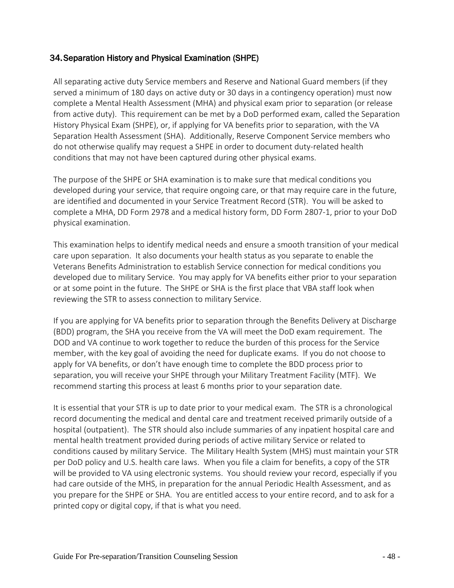#### <span id="page-47-0"></span>34.Separation History and Physical Examination (SHPE)

All separating active duty Service members and Reserve and National Guard members (if they served a minimum of 180 days on active duty or 30 days in a contingency operation) must now complete a Mental Health Assessment (MHA) and physical exam prior to separation (or release from active duty). This requirement can be met by a DoD performed exam, called the Separation History Physical Exam (SHPE), or, if applying for VA benefits prior to separation, with the VA Separation Health Assessment (SHA). Additionally, Reserve Component Service members who do not otherwise qualify may request a SHPE in order to document duty-related health conditions that may not have been captured during other physical exams.

The purpose of the SHPE or SHA examination is to make sure that medical conditions you developed during your service, that require ongoing care, or that may require care in the future, are identified and documented in your Service Treatment Record (STR). You will be asked to complete a MHA, DD Form 2978 and a medical history form, DD Form 2807-1, prior to your DoD physical examination.

This examination helps to identify medical needs and ensure a smooth transition of your medical care upon separation. It also documents your health status as you separate to enable the Veterans Benefits Administration to establish Service connection for medical conditions you developed due to military Service. You may apply for VA benefits either prior to your separation or at some point in the future. The SHPE or SHA is the first place that VBA staff look when reviewing the STR to assess connection to military Service.

If you are applying for VA benefits prior to separation through the Benefits Delivery at Discharge (BDD) program, the SHA you receive from the VA will meet the DoD exam requirement. The DOD and VA continue to work together to reduce the burden of this process for the Service member, with the key goal of avoiding the need for duplicate exams. If you do not choose to apply for VA benefits, or don't have enough time to complete the BDD process prior to separation, you will receive your SHPE through your Military Treatment Facility (MTF). We recommend starting this process at least 6 months prior to your separation date.

It is essential that your STR is up to date prior to your medical exam. The STR is a chronological record documenting the medical and dental care and treatment received primarily outside of a hospital (outpatient). The STR should also include summaries of any inpatient hospital care and mental health treatment provided during periods of active military Service or related to conditions caused by military Service. The Military Health System (MHS) must maintain your STR per DoD policy and U.S. health care laws. When you file a claim for benefits, a copy of the STR will be provided to VA using electronic systems. You should review your record, especially if you had care outside of the MHS, in preparation for the annual Periodic Health Assessment, and as you prepare for the SHPE or SHA. You are entitled access to your entire record, and to ask for a printed copy or digital copy, if that is what you need.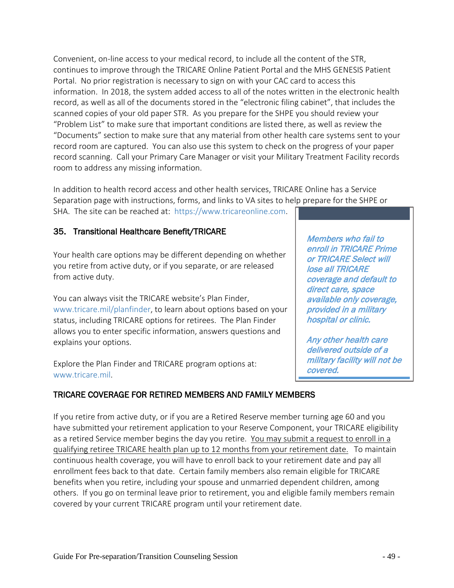Convenient, on-line access to your medical record, to include all the content of the STR, continues to improve through the TRICARE Online Patient Portal and the MHS GENESIS Patient Portal. No prior registration is necessary to sign on with your CAC card to access this information. In 2018, the system added access to all of the notes written in the electronic health record, as well as all of the documents stored in the "electronic filing cabinet", that includes the scanned copies of your old paper STR. As you prepare for the SHPE you should review your "Problem List" to make sure that important conditions are listed there, as well as review the "Documents" section to make sure that any material from other health care systems sent to your record room are captured. You can also use this system to check on the progress of your paper record scanning. Call your Primary Care Manager or visit your Military Treatment Facility records room to address any missing information.

In addition to health record access and other health services, TRICARE Online has a Service Separation page with instructions, forms, and links to VA sites to help prepare for the SHPE or SHA. The site can be reached at: https://www.tricareonline.com.

#### <span id="page-48-0"></span>35. Transitional Healthcare Benefit/TRICARE

Your health care options may be different depending on whether you retire from active duty, or if you separate, or are released from active duty.

You can always visit the TRICARE website's Plan Finder, www.tricare.mil/planfinder, to learn about options based on your status, including TRICARE options for retirees. The Plan Finder allows you to enter specific information, answers questions and explains your options.

Explore the Plan Finder and TRICARE program options at: www.tricare.mil.

#### TRICARE COVERAGE FOR RETIRED MEMBERS AND FAMILY MEMBERS

Members who fail to enroll in TRICARE Prime or TRICARE Select will lose all TRICARE coverage and default to direct care, space available only coverage, provided in a military hospital or clinic.

Any other health care delivered outside of a military facility will not be covered.

If you retire from active duty, or if you are a Retired Reserve member turning age 60 and you have submitted your retirement application to your Reserve Component, your TRICARE eligibility as a retired Service member begins the day you retire. You may submit a request to enroll in a qualifying retiree TRICARE health plan up to 12 months from your retirement date. To maintain continuous health coverage, you will have to enroll back to your retirement date and pay all enrollment fees back to that date. Certain family members also remain eligible for TRICARE benefits when you retire, including your spouse and unmarried dependent children, among others. If you go on terminal leave prior to retirement, you and eligible family members remain covered by your current TRICARE program until your retirement date.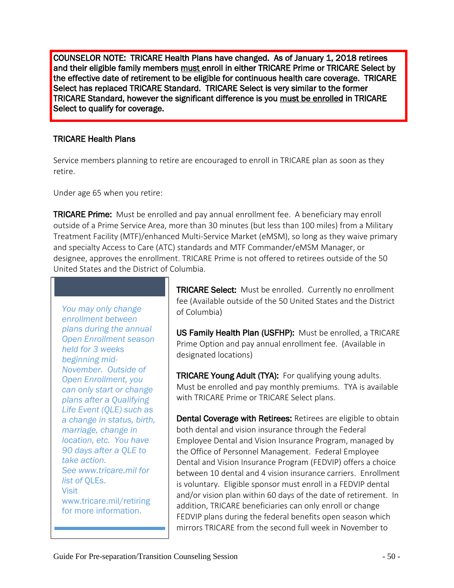COUNSELOR NOTE: TRICARE Health Plans have changed. As of January 1, 2018 retirees and their eligible family members must enroll in either TRICARE Prime or TRICARE Select by the effective date of retirement to be eligible for continuous health care coverage. TRICARE Select has replaced TRICARE Standard. TRICARE Select is very similar to the former TRICARE Standard, however the significant difference is you must be enrolled in TRICARE Select to qualify for coverage.

#### TRICARE Health Plans

Service members planning to retire are encouraged to enroll in TRICARE plan as soon as they retire.

Under age 65 when you retire:

**TRICARE Prime:** Must be enrolled and pay annual enrollment fee. A beneficiary may enroll outside of a Prime Service Area, more than 30 minutes (but less than 100 miles) from a Military Treatment Facility (MTF)/enhanced Multi-Service Market (eMSM), so long as they waive primary and specialty Access to Care (ATC) standards and MTF Commander/eMSM Manager, or designee, approves the enrollment. TRICARE Prime is not offered to retirees outside of the 50 United States and the District of Columbia.

*You may only change enrollment between plans during the annual Open Enrollment season held for 3 weeks beginning mid-November. Outside of Open Enrollment, you can only start or change plans after a Qualifying Life Event (QLE) such as a change in status, birth, marriage, change in location, etc. You have 90 days after a QLE to take action. See www.tricare.mil for list of* QLEs. Visit www.tricare.mil/retiring for more information.

TRICARE Select: Must be enrolled. Currently no enrollment fee (Available outside of the 50 United States and the District of Columbia)

US Family Health Plan (USFHP): Must be enrolled, a TRICARE Prime Option and pay annual enrollment fee. (Available in designated locations)

TRICARE Young Adult (TYA): For qualifying young adults. Must be enrolled and pay monthly premiums. TYA is available with TRICARE Prime or TRICARE Select plans.

Dental Coverage with Retirees: Retirees are eligible to obtain both dental and vision insurance through the Federal Employee Dental and Vision Insurance Program, managed by the Office of Personnel Management. Federal Employee Dental and Vision Insurance Program (FEDVIP) offers a choice between 10 dental and 4 vision insurance carriers. Enrollment is voluntary. Eligible sponsor must enroll in a FEDVIP dental and/or vision plan within 60 days of the date of retirement. In addition, TRICARE beneficiaries can only enroll or change FEDVIP plans during the federal benefits open season which mirrors TRICARE from the second full week in November to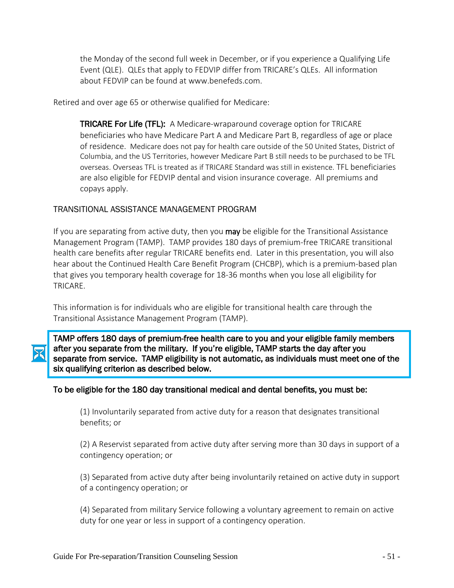the Monday of the second full week in December, or if you experience a Qualifying Life Event (QLE). QLEs that apply to FEDVIP differ from TRICARE's QLEs. All information about FEDVIP can be found at www.benefeds.com.

Retired and over age 65 or otherwise qualified for Medicare:

**TRICARE For Life (TFL):** A Medicare-wraparound coverage option for TRICARE beneficiaries who have Medicare Part A and Medicare Part B, regardless of age or place of residence. Medicare does not pay for health care outside of the 50 United States, District of Columbia, and the US Territories, however Medicare Part B still needs to be purchased to be TFL overseas. Overseas TFL is treated as if TRICARE Standard was still in existence. TFL beneficiaries are also eligible for FEDVIP dental and vision insurance coverage. All premiums and copays apply.

#### TRANSITIONAL ASSISTANCE MANAGEMENT PROGRAM

If you are separating from active duty, then you **may** be eligible for the Transitional Assistance Management Program (TAMP). TAMP provides 180 days of premium-free TRICARE transitional health care benefits after regular TRICARE benefits end. Later in this presentation, you will also hear about the Continued Health Care Benefit Program (CHCBP), which is a premium-based plan that gives you temporary health coverage for 18-36 months when you lose all eligibility for TRICARE.

This information is for individuals who are eligible for transitional health care through the Transitional Assistance Management Program (TAMP).

TAMP offers 180 days of premium-free health care to you and your eligible family members after you separate from the military. If you're eligible, TAMP starts the day after you separate from service. TAMP eligibility is not automatic, as individuals must meet one of the six qualifying criterion as described below.

#### To be eligible for the 180 day transitional medical and dental benefits, you must be:

(1) Involuntarily separated from active duty for a reason that designates transitional benefits; or

(2) A Reservist separated from active duty after serving more than 30 days in support of a contingency operation; or

(3) Separated from active duty after being involuntarily retained on active duty in support of a contingency operation; or

(4) Separated from military Service following a voluntary agreement to remain on active duty for one year or less in support of a contingency operation.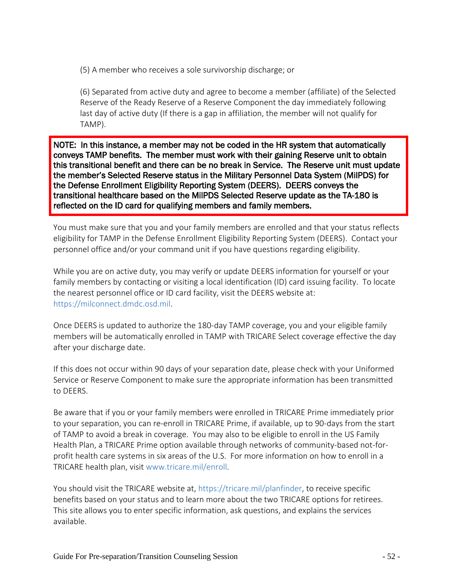(5) A member who receives a sole survivorship discharge; or

(6) Separated from active duty and agree to become a member (affiliate) of the Selected Reserve of the Ready Reserve of a Reserve Component the day immediately following last day of active duty (If there is a gap in affiliation, the member will not qualify for TAMP).

NOTE: In this instance, a member may not be coded in the HR system that automatically conveys TAMP benefits. The member must work with their gaining Reserve unit to obtain this transitional benefit and there can be no break in Service. The Reserve unit must update the member's Selected Reserve status in the Military Personnel Data System (MilPDS) for the Defense Enrollment Eligibility Reporting System (DEERS). DEERS conveys the transitional healthcare based on the MilPDS Selected Reserve update as the TA-180 is reflected on the ID card for qualifying members and family members.

You must make sure that you and your family members are enrolled and that your status reflects eligibility for TAMP in the Defense Enrollment Eligibility Reporting System (DEERS). Contact your personnel office and/or your command unit if you have questions regarding eligibility.

While you are on active duty, you may verify or update DEERS information for yourself or your family members by contacting or visiting a local identification (ID) card issuing facility. To locate the nearest personnel office or ID card facility, visit the DEERS website at: https://milconnect.dmdc.osd.mil.

Once DEERS is updated to authorize the 180-day TAMP coverage, you and your eligible family members will be automatically enrolled in TAMP with TRICARE Select coverage effective the day after your discharge date.

If this does not occur within 90 days of your separation date, please check with your Uniformed Service or Reserve Component to make sure the appropriate information has been transmitted to DEERS.

Be aware that if you or your family members were enrolled in TRICARE Prime immediately prior to your separation, you can re-enroll in TRICARE Prime, if available, up to 90-days from the start of TAMP to avoid a break in coverage. You may also to be eligible to enroll in the US Family Health Plan, a TRICARE Prime option available through networks of community-based not-forprofit health care systems in six areas of the U.S. For more information on how to enroll in a TRICARE health plan, visit www.tricare.mil/enroll.

You should visit the TRICARE website at, https://tricare.mil/planfinder, to receive specific benefits based on your status and to learn more about the two TRICARE options for retirees. This site allows you to enter specific information, ask questions, and explains the services available.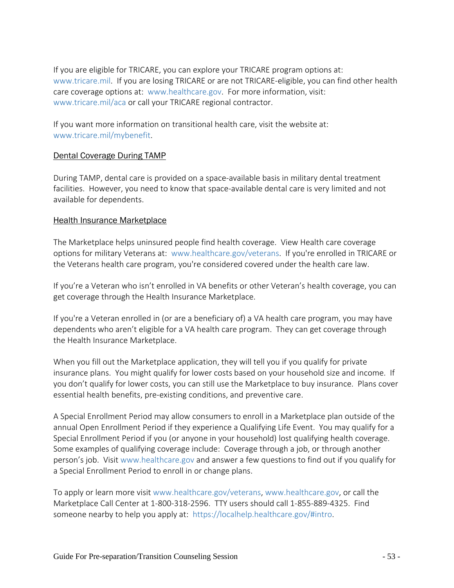If you are eligible for TRICARE, you can explore your TRICARE program options at: [www.tricare.mil.](http://www.tricare.mil/) If you are losing TRICARE or are not TRICARE-eligible, you can find other health care coverage options at: www.healthcare.gov. For more information, visit: www.tricare.mil/aca or call your TRICARE regional contractor.

If you want more information on transitional health care, visit the website at: www.tricare.mil/mybenefit.

#### Dental Coverage During TAMP

During TAMP, dental care is provided on a space-available basis in military dental treatment facilities. However, you need to know that space-available dental care is very limited and not available for dependents.

#### **Health Insurance Marketplace**

The Marketplace helps uninsured people find health coverage. View Health care coverage options for military Veterans at: www.healthcare.gov/veterans. If you're enrolled in TRICARE or the Veterans health care program, you're considered covered under the health care law.

If you're a Veteran who isn't enrolled in VA benefits or other Veteran's health coverage, you can get coverage through the Health Insurance Marketplace.

If you're a Veteran enrolled in (or are a beneficiary of) a VA health care program, you may have dependents who aren't eligible for a VA health care program. They can get coverage through the Health Insurance Marketplace.

When you fill out the Marketplace application, they will tell you if you qualify for private insurance plans. You might qualify for lower costs based on your household size and income. If you don't qualify for lower costs, you can still use the Marketplace to buy insurance. Plans cover essential health benefits, pre-existing conditions, and preventive care.

A Special Enrollment Period may allow consumers to enroll in a Marketplace plan outside of the annual Open Enrollment Period if they experience a Qualifying Life Event. You may qualify for a Special Enrollment Period if you (or anyone in your household) lost qualifying health coverage. Some examples of qualifying coverage include: Coverage through a job, or through another person's job. Visit www.healthcare.gov and answer a few questions to find out if you qualify for a Special Enrollment Period to enroll in or change plans.

To apply or learn more visit www.healthcare.gov/veterans, www.healthcare.gov, or call the Marketplace Call Center at 1-800-318-2596. TTY users should call 1-855-889-4325. Find someone nearby to help you apply at: https://localhelp.healthcare.gov/#intro.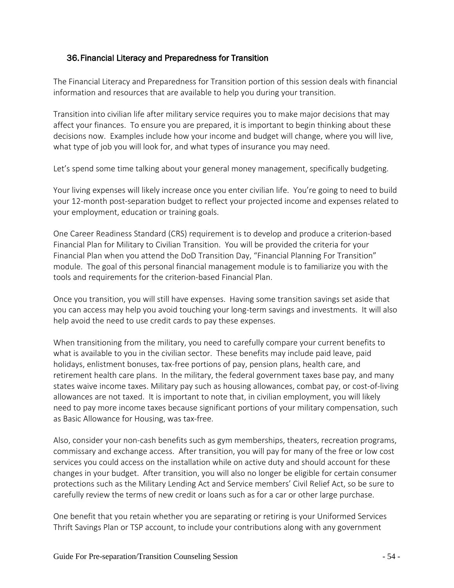#### <span id="page-53-0"></span>36.Financial Literacy and Preparedness for Transition

The Financial Literacy and Preparedness for Transition portion of this session deals with financial information and resources that are available to help you during your transition.

Transition into civilian life after military service requires you to make major decisions that may affect your finances. To ensure you are prepared, it is important to begin thinking about these decisions now. Examples include how your income and budget will change, where you will live, what type of job you will look for, and what types of insurance you may need.

Let's spend some time talking about your general money management, specifically budgeting.

Your living expenses will likely increase once you enter civilian life. You're going to need to build your 12-month post-separation budget to reflect your projected income and expenses related to your employment, education or training goals.

One Career Readiness Standard (CRS) requirement is to develop and produce a criterion-based Financial Plan for Military to Civilian Transition. You will be provided the criteria for your Financial Plan when you attend the DoD Transition Day, "Financial Planning For Transition" module. The goal of this personal financial management module is to familiarize you with the tools and requirements for the criterion-based Financial Plan.

Once you transition, you will still have expenses. Having some transition savings set aside that you can access may help you avoid touching your long-term savings and investments. It will also help avoid the need to use credit cards to pay these expenses.

When transitioning from the military, you need to carefully compare your current benefits to what is available to you in the civilian sector. These benefits may include paid leave, paid holidays, enlistment bonuses, tax-free portions of pay, pension plans, health care, and retirement health care plans. In the military, the federal government taxes base pay, and many states waive income taxes. Military pay such as housing allowances, combat pay, or cost-of-living allowances are not taxed. It is important to note that, in civilian employment, you will likely need to pay more income taxes because significant portions of your military compensation, such as Basic Allowance for Housing, was tax-free.

Also, consider your non-cash benefits such as gym memberships, theaters, recreation programs, commissary and exchange access. After transition, you will pay for many of the free or low cost services you could access on the installation while on active duty and should account for these changes in your budget. After transition, you will also no longer be eligible for certain consumer protections such as the Military Lending Act and Service members' Civil Relief Act, so be sure to carefully review the terms of new credit or loans such as for a car or other large purchase.

One benefit that you retain whether you are separating or retiring is your Uniformed Services Thrift Savings Plan or TSP account, to include your contributions along with any government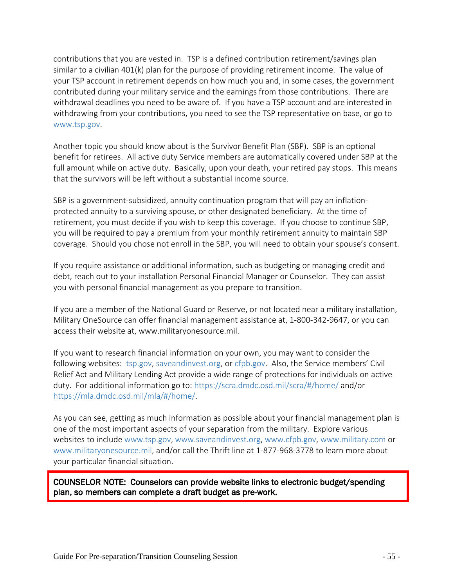contributions that you are vested in. TSP is a defined contribution retirement/savings plan similar to a civilian 401(k) plan for the purpose of providing retirement income. The value of your TSP account in retirement depends on how much you and, in some cases, the government contributed during your military service and the earnings from those contributions. There are withdrawal deadlines you need to be aware of. If you have a TSP account and are interested in withdrawing from your contributions, you need to see the TSP representative on base, or go to www.tsp.gov.

Another topic you should know about is the Survivor Benefit Plan (SBP). SBP is an optional benefit for retirees. All active duty Service members are automatically covered under SBP at the full amount while on active duty. Basically, upon your death, your retired pay stops. This means that the survivors will be left without a substantial income source.

SBP is a government-subsidized, annuity continuation program that will pay an inflationprotected annuity to a surviving spouse, or other designated beneficiary. At the time of retirement, you must decide if you wish to keep this coverage. If you choose to continue SBP, you will be required to pay a premium from your monthly retirement annuity to maintain SBP coverage. Should you chose not enroll in the SBP, you will need to obtain your spouse's consent.

If you require assistance or additional information, such as budgeting or managing credit and debt, reach out to your installation Personal Financial Manager or Counselor. They can assist you with personal financial management as you prepare to transition.

If you are a member of the National Guard or Reserve, or not located near a military installation, Military OneSource can offer financial management assistance at, 1-800-342-9647, or you can access their website at, www.militaryonesource.mil.

If you want to research financial information on your own, you may want to consider the following websites: tsp.gov, saveandinvest.org, or cfpb.gov. Also, the Service members' Civil Relief Act and Military Lending Act provide a wide range of protections for individuals on active duty. For additional information go to: https://scra.dmdc.osd.mil/scra/#/home/ and/or https://mla.dmdc.osd.mil/mla/#/home/.

As you can see, getting as much information as possible about your financial management plan is one of the most important aspects of your separation from the military. Explore various websites to include www.tsp.gov, www.saveandinvest.org, www.cfpb.gov, www.military.com or www.militaryonesource.mil, and/or call the Thrift line at 1-877-968-3778 to learn more about your particular financial situation.

COUNSELOR NOTE: Counselors can provide website links to electronic budget/spending plan, so members can complete a draft budget as pre-work.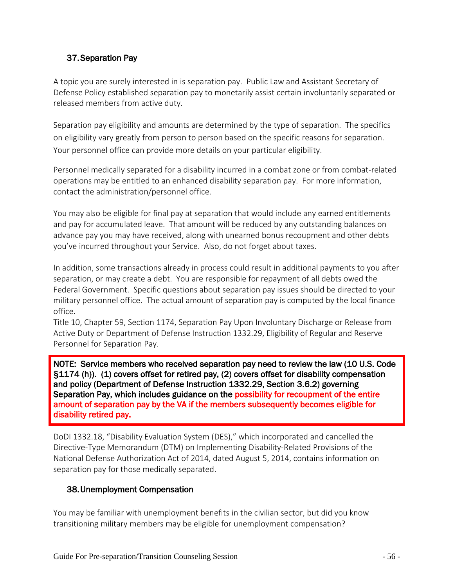# <span id="page-55-0"></span>37.Separation Pay

A topic you are surely interested in is separation pay. Public Law and Assistant Secretary of Defense Policy established separation pay to monetarily assist certain involuntarily separated or released members from active duty.

Separation pay eligibility and amounts are determined by the type of separation. The specifics on eligibility vary greatly from person to person based on the specific reasons for separation. Your personnel office can provide more details on your particular eligibility.

Personnel medically separated for a disability incurred in a combat zone or from combat-related operations may be entitled to an enhanced disability separation pay. For more information, contact the administration/personnel office.

You may also be eligible for final pay at separation that would include any earned entitlements and pay for accumulated leave. That amount will be reduced by any outstanding balances on advance pay you may have received, along with unearned bonus recoupment and other debts you've incurred throughout your Service. Also, do not forget about taxes.

In addition, some transactions already in process could result in additional payments to you after separation, or may create a debt. You are responsible for repayment of all debts owed the Federal Government. Specific questions about separation pay issues should be directed to your military personnel office. The actual amount of separation pay is computed by the local finance office.

Title 10, Chapter 59, Section 1174, Separation Pay Upon Involuntary Discharge or Release from Active Duty or Department of Defense Instruction 1332.29, Eligibility of Regular and Reserve Personnel for Separation Pay.

NOTE: Service members who received separation pay need to review the law (10 U.S. Code §1174 (h)). (1) covers offset for retired pay, (2) covers offset for disability compensation and policy (Department of Defense Instruction 1332.29, Section 3.6.2) governing Separation Pay, which includes guidance on the possibility for recoupment of the entire amount of separation pay by the VA if the members subsequently becomes eligible for disability retired pay.

DoDI 1332.18, "Disability Evaluation System (DES)," which incorporated and cancelled the Directive-Type Memorandum (DTM) on Implementing Disability-Related Provisions of the National Defense Authorization Act of 2014, dated August 5, 2014, contains information on separation pay for those medically separated.

#### <span id="page-55-1"></span>38.Unemployment Compensation

You may be familiar with unemployment benefits in the civilian sector, but did you know transitioning military members may be eligible for unemployment compensation?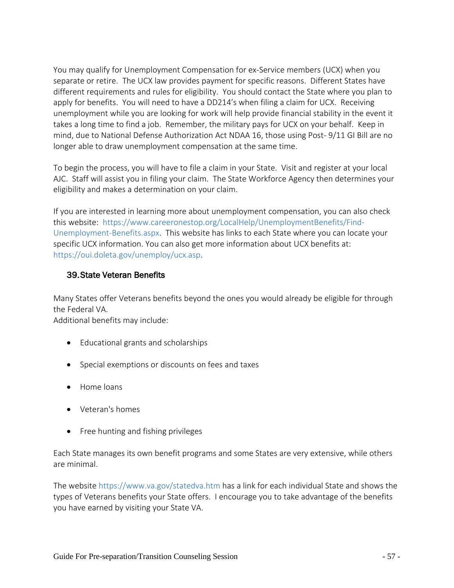You may qualify for Unemployment Compensation for ex-Service members (UCX) when you separate or retire. The UCX law provides payment for specific reasons. Different States have different requirements and rules for eligibility. You should contact the State where you plan to apply for benefits. You will need to have a DD214's when filing a claim for UCX. Receiving unemployment while you are looking for work will help provide financial stability in the event it takes a long time to find a job. Remember, the military pays for UCX on your behalf. Keep in mind, due to National Defense Authorization Act NDAA 16, those using Post- 9/11 GI Bill are no longer able to draw unemployment compensation at the same time.

To begin the process, you will have to file a claim in your State. Visit and register at your local AJC. Staff will assist you in filing your claim. The State Workforce Agency then determines your eligibility and makes a determination on your claim.

If you are interested in learning more about unemployment compensation, you can also check this website: https://www.careeronestop.org/LocalHelp/UnemploymentBenefits/Find-Unemployment-Benefits.aspx. This website has links to each State where you can locate your specific UCX information. You can also get more information about UCX benefits at: [https://oui.doleta.gov/unemploy/ucx.asp.](https://oui.doleta.gov/unemploy/ucx.asp)

#### <span id="page-56-0"></span>39.State Veteran Benefits

Many States offer Veterans benefits beyond the ones you would already be eligible for through the Federal VA.

Additional benefits may include:

- Educational grants and scholarships
- Special exemptions or discounts on fees and taxes
- Home loans
- Veteran's homes
- Free hunting and fishing privileges

Each State manages its own benefit programs and some States are very extensive, while others are minimal.

The website https://www.va.gov/statedva.htm has a link for each individual State and shows the types of Veterans benefits your State offers. I encourage you to take advantage of the benefits you have earned by visiting your State VA.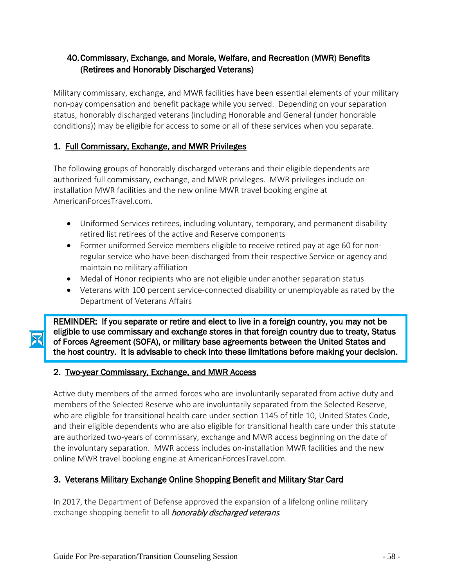# <span id="page-57-0"></span>40.Commissary, Exchange, and Morale, Welfare, and Recreation (MWR) Benefits (Retirees and Honorably Discharged Veterans)

Military commissary, exchange, and MWR facilities have been essential elements of your military non-pay compensation and benefit package while you served. Depending on your separation status, honorably discharged veterans (including Honorable and General (under honorable conditions)) may be eligible for access to some or all of these services when you separate.

# 1.Full Commissary, Exchange, and MWR Privileges

The following groups of honorably discharged veterans and their eligible dependents are authorized full commissary, exchange, and MWR privileges. MWR privileges include oninstallation MWR facilities and the new online MWR travel booking engine at AmericanForcesTravel.com.

- Uniformed Services retirees, including voluntary, temporary, and permanent disability retired list retirees of the active and Reserve components
- Former uniformed Service members eligible to receive retired pay at age 60 for nonregular service who have been discharged from their respective Service or agency and maintain no military affiliation
- Medal of Honor recipients who are not eligible under another separation status
- Veterans with 100 percent service-connected disability or unemployable as rated by the Department of Veterans Affairs

REMINDER: If you separate or retire and elect to live in a foreign country, you may not be eligible to use commissary and exchange stores in that foreign country due to treaty, Status of Forces Agreement (SOFA), or military base agreements between the United States and the host country. It is advisable to check into these limitations before making your decision.

#### 2.Two-year Commissary, Exchange, and MWR Access

Active duty members of the armed forces who are involuntarily separated from active duty and members of the Selected Reserve who are involuntarily separated from the Selected Reserve, who are eligible for transitional health care under section 1145 of title 10, United States Code, and their eligible dependents who are also eligible for transitional health care under this statute are authorized two-years of commissary, exchange and MWR access beginning on the date of the involuntary separation. MWR access includes on-installation MWR facilities and the new online MWR travel booking engine at AmericanForcesTravel.com.

# 3. Veterans Military Exchange Online Shopping Benefit and Military Star Card

In 2017, the Department of Defense approved the expansion of a lifelong online military exchange shopping benefit to all *honorably discharged veterans*.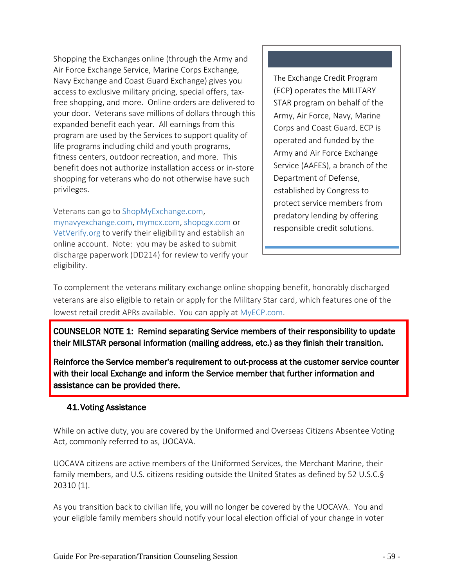Shopping the Exchanges online (through the Army and Air Force Exchange Service, Marine Corps Exchange, Navy Exchange and Coast Guard Exchange) gives you access to exclusive military pricing, special offers, taxfree shopping, and more. Online orders are delivered to your door. Veterans save millions of dollars through this expanded benefit each year. All earnings from this program are used by the Services to support quality of life programs including child and youth programs, fitness centers, outdoor recreation, and more. This benefit does not authorize installation access or in-store shopping for veterans who do not otherwise have such privileges.

Veterans can go to [ShopMyExchange.com,](http://www.shopmyexchange.com/) [mynavyexchange.com,](https://www.mynavyexchange.com/) [mymcx.com,](http://mymcx.com/) [shopcgx.com](https://shopcgx.com/) or [VetVerify.org](https://www.vetverify.org/) to verify their eligibility and establish an online account. Note: you may be asked to submit discharge paperwork (DD214) for review to verify your eligibility.

The Exchange Credit Program (ECP) operates the MILITARY STAR program on behalf of the Army, Air Force, Navy, Marine Corps and Coast Guard. ECP is operated and funded by the Army and Air Force Exchange Service (AAFES), a branch of the Department of Defense, established by Congress to protect service members from predatory lending by offering responsible credit solutions.

To complement the veterans military exchange online shopping benefit, honorably discharged veterans are also eligible to retain or apply for the Military Star card, which features one of the lowest retail credit APRs available. You can apply at MyECP.com.

COUNSELOR NOTE 1: Remind separating Service members of their responsibility to update their MILSTAR personal information (mailing address, etc.) as they finish their transition.

Reinforce the Service member's requirement to out-process at the customer service counter with their local Exchange and inform the Service member that further information and assistance can be provided there.

#### <span id="page-58-0"></span>41.Voting Assistance

While on active duty, you are covered by the Uniformed and Overseas Citizens Absentee Voting Act, commonly referred to as, UOCAVA.

UOCAVA citizens are active members of the Uniformed Services, the Merchant Marine, their family members, and U.S. citizens residing outside the United States as defined by 52 U.S.C.§ 20310 (1).

As you transition back to civilian life, you will no longer be covered by the UOCAVA. You and your eligible family members should notify your local election official of your change in voter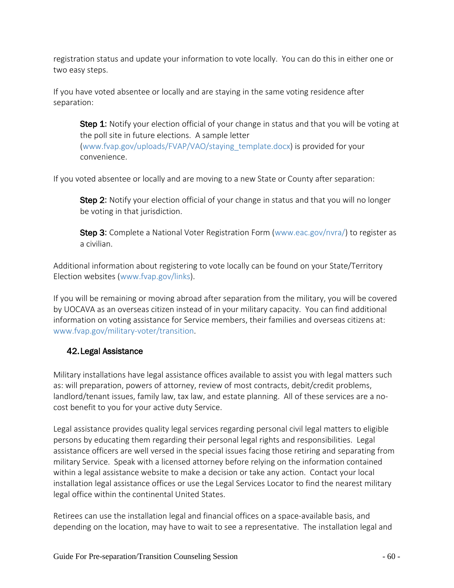registration status and update your information to vote locally. You can do this in either one or two easy steps.

If you have voted absentee or locally and are staying in the same voting residence after separation:

Step 1: Notify your election official of your change in status and that you will be voting at the poll site in future elections. A sample letter (www.fvap.gov/uploads/FVAP/VAO/staying\_template.docx) is provided for your convenience.

If you voted absentee or locally and are moving to a new State or County after separation:

Step 2: Notify your election official of your change in status and that you will no longer be voting in that jurisdiction.

Step 3: Complete a National Voter Registration Form (www.eac.gov/nvra/) to register as a civilian.

Additional information about registering to vote locally can be found on your State/Territory Election websites (www.fvap.gov/links).

If you will be remaining or moving abroad after separation from the military, you will be covered by UOCAVA as an overseas citizen instead of in your military capacity. You can find additional information on voting assistance for Service members, their families and overseas citizens at: [www.fvap.gov/military-voter/transition.](http://www.fvap.gov/military-voter/transition)

#### <span id="page-59-0"></span>42.Legal Assistance

Military installations have legal assistance offices available to assist you with legal matters such as: will preparation, powers of attorney, review of most contracts, debit/credit problems, landlord/tenant issues, family law, tax law, and estate planning. All of these services are a nocost benefit to you for your active duty Service.

Legal assistance provides quality legal services regarding personal civil legal matters to eligible persons by educating them regarding their personal legal rights and responsibilities. Legal assistance officers are well versed in the special issues facing those retiring and separating from military Service. Speak with a licensed attorney before relying on the information contained within a legal assistance website to make a decision or take any action. Contact your local installation legal assistance offices or use the Legal Services Locator to find the nearest military legal office within the continental United States.

Retirees can use the installation legal and financial offices on a space-available basis, and depending on the location, may have to wait to see a representative. The installation legal and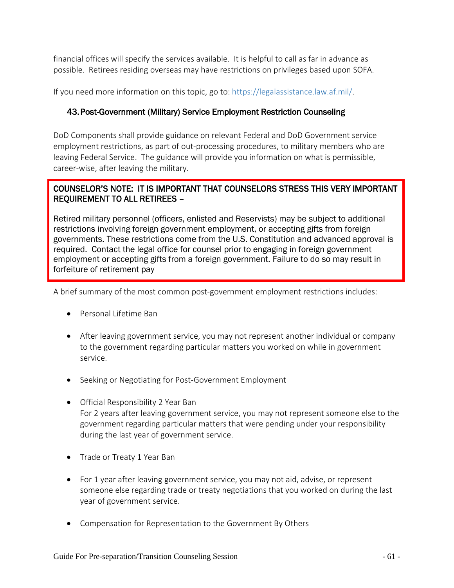financial offices will specify the services available. It is helpful to call as far in advance as possible. Retirees residing overseas may have restrictions on privileges based upon SOFA.

If you need more information on this topic, go to: https://legalassistance.law.af.mil/.

#### 43.Post-Government (Military) Service Employment Restriction Counseling

DoD Components shall provide guidance on relevant Federal and DoD Government service employment restrictions, as part of out-processing procedures, to military members who are leaving Federal Service. The guidance will provide you information on what is permissible, career-wise, after leaving the military.

#### COUNSELOR'S NOTE: IT IS IMPORTANT THAT COUNSELORS STRESS THIS VERY IMPORTANT REQUIREMENT TO ALL RETIREES –

Retired military personnel (officers, enlisted and Reservists) may be subject to additional restrictions involving foreign government employment, or accepting gifts from foreign governments. These restrictions come from the U.S. Constitution and advanced approval is required. Contact the legal office for counsel prior to engaging in foreign government employment or accepting gifts from a foreign government. Failure to do so may result in forfeiture of retirement pay

A brief summary of the most common post-government employment restrictions includes:

- Personal Lifetime Ban
- After leaving government service, you may not represent another individual or company to the government regarding particular matters you worked on while in government service.
- Seeking or Negotiating for Post-Government Employment
- Official Responsibility 2 Year Ban For 2 years after leaving government service, you may not represent someone else to the government regarding particular matters that were pending under your responsibility during the last year of government service.
- Trade or Treaty 1 Year Ban
- For 1 year after leaving government service, you may not aid, advise, or represent someone else regarding trade or treaty negotiations that you worked on during the last year of government service.
- Compensation for Representation to the Government By Others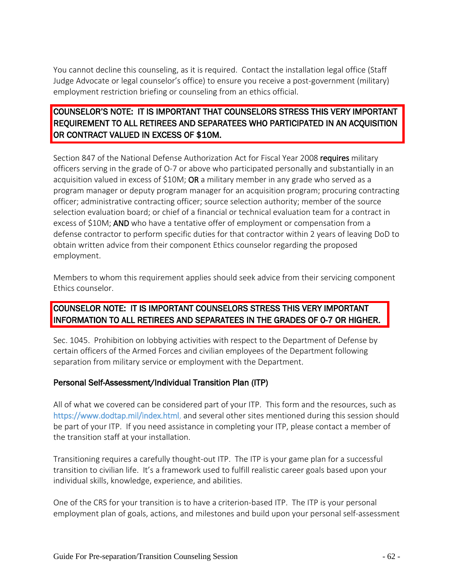You cannot decline this counseling, as it is required. Contact the installation legal office (Staff Judge Advocate or legal counselor's office) to ensure you receive a post-government (military) employment restriction briefing or counseling from an ethics official.

# COUNSELOR'S NOTE: IT IS IMPORTANT THAT COUNSELORS STRESS THIS VERY IMPORTANT REQUIREMENT TO ALL RETIREES AND SEPARATEES WHO PARTICIPATED IN AN ACQUISITION OR CONTRACT VALUED IN EXCESS OF \$10M.

Section 847 of the National Defense Authorization Act for Fiscal Year 2008 requires military officers serving in the grade of O-7 or above who participated personally and substantially in an acquisition valued in excess of \$10M; OR a military member in any grade who served as a program manager or deputy program manager for an acquisition program; procuring contracting officer; administrative contracting officer; source selection authority; member of the source selection evaluation board; or chief of a financial or technical evaluation team for a contract in excess of \$10M; AND who have a tentative offer of employment or compensation from a defense contractor to perform specific duties for that contractor within 2 years of leaving DoD to obtain written advice from their component Ethics counselor regarding the proposed employment.

Members to whom this requirement applies should seek advice from their servicing component Ethics counselor.

# COUNSELOR NOTE: IT IS IMPORTANT COUNSELORS STRESS THIS VERY IMPORTANT INFORMATION TO ALL RETIREES AND SEPARATEES IN THE GRADES OF 0-7 OR HIGHER.

Sec. 1045. Prohibition on lobbying activities with respect to the Department of Defense by certain officers of the Armed Forces and civilian employees of the Department following separation from military service or employment with the Department.

#### Personal Self-Assessment/Individual Transition Plan (ITP)

All of what we covered can be considered part of your ITP. This form and the resources, such as https://www.dodtap.mil/index.html, and several other sites mentioned during this session should be part of your ITP. If you need assistance in completing your ITP, please contact a member of the transition staff at your installation.

Transitioning requires a carefully thought-out ITP. The ITP is your game plan for a successful transition to civilian life. It's a framework used to fulfill realistic career goals based upon your individual skills, knowledge, experience, and abilities.

One of the CRS for your transition is to have a criterion-based ITP. The ITP is your personal employment plan of goals, actions, and milestones and build upon your personal self-assessment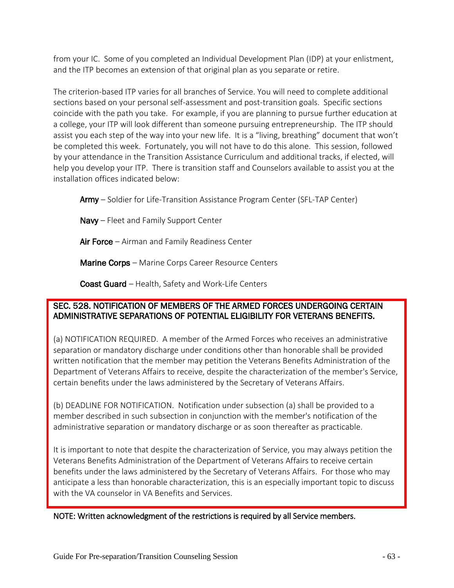from your IC. Some of you completed an Individual Development Plan (IDP) at your enlistment, and the ITP becomes an extension of that original plan as you separate or retire.

The criterion-based ITP varies for all branches of Service. You will need to complete additional sections based on your personal self-assessment and post-transition goals. Specific sections coincide with the path you take. For example, if you are planning to pursue further education at a college, your ITP will look different than someone pursuing entrepreneurship. The ITP should assist you each step of the way into your new life. It is a "living, breathing" document that won't be completed this week. Fortunately, you will not have to do this alone. This session, followed by your attendance in the Transition Assistance Curriculum and additional tracks, if elected, will help you develop your ITP. There is transition staff and Counselors available to assist you at the installation offices indicated below:

Army – Soldier for Life-Transition Assistance Program Center (SFL-TAP Center)

Navy - Fleet and Family Support Center

Air Force – Airman and Family Readiness Center

**Marine Corps** – Marine Corps Career Resource Centers

Coast Guard – Health, Safety and Work-Life Centers

#### SEC. 528. NOTIFICATION OF MEMBERS OF THE ARMED FORCES UNDERGOING CERTAIN ADMINISTRATIVE SEPARATIONS OF POTENTIAL ELIGIBILITY FOR VETERANS BENEFITS.

(a) NOTIFICATION REQUIRED. A member of the Armed Forces who receives an administrative separation or mandatory discharge under conditions other than honorable shall be provided written notification that the member may petition the Veterans Benefits Administration of the Department of Veterans Affairs to receive, despite the characterization of the member's Service, certain benefits under the laws administered by the Secretary of Veterans Affairs.

(b) DEADLINE FOR NOTIFICATION. Notification under subsection (a) shall be provided to a member described in such subsection in conjunction with the member's notification of the administrative separation or mandatory discharge or as soon thereafter as practicable.

It is important to note that despite the characterization of Service, you may always petition the Veterans Benefits Administration of the Department of Veterans Affairs to receive certain benefits under the laws administered by the Secretary of Veterans Affairs. For those who may anticipate a less than honorable characterization, this is an especially important topic to discuss with the VA counselor in VA Benefits and Services.

<span id="page-62-0"></span>NOTE: Written acknowledgment of the restrictions is required by all Service members.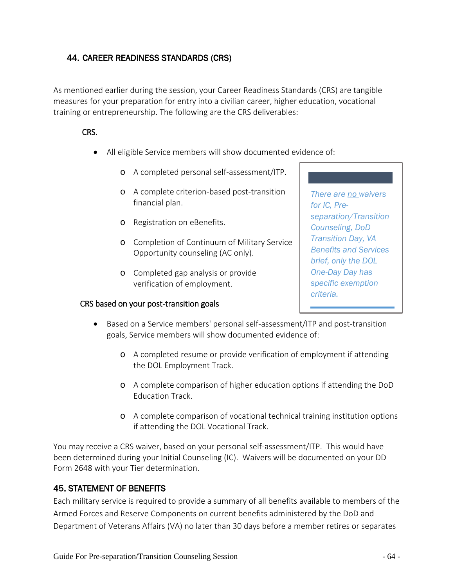# 44. CAREER READINESS STANDARDS (CRS)

As mentioned earlier during the session, your Career Readiness Standards (CRS) are tangible measures for your preparation for entry into a civilian career, higher education, vocational training or entrepreneurship. The following are the CRS deliverables:

#### CRS.

- All eligible Service members will show documented evidence of:
	- o A completed personal self-assessment/ITP.
	- o A complete criterion-based post-transition financial plan.
	- o Registration on eBenefits.
	- o Completion of Continuum of Military Service Opportunity counseling (AC only).
	- o Completed gap analysis or provide verification of employment.

#### CRS based on your post-transition goals

*There are no waivers for IC, Preseparation/Transition Counseling, DoD Transition Day, VA Benefits and Services brief, only the DOL One-Day Day has specific exemption criteria.*

- Based on a Service members' personal self-assessment/ITP and post-transition goals, Service members will show documented evidence of:
	- o A completed resume or provide verification of employment if attending the DOL Employment Track.
	- o A complete comparison of higher education options if attending the DoD Education Track.
	- o A complete comparison of vocational technical training institution options if attending the DOL Vocational Track.

You may receive a CRS waiver, based on your personal self-assessment/ITP. This would have been determined during your Initial Counseling (IC). Waivers will be documented on your DD Form 2648 with your Tier determination.

#### 45. STATEMENT OF BENEFITS

Each military service is required to provide a summary of all benefits available to members of the Armed Forces and Reserve Components on current benefits administered by the DoD and Department of Veterans Affairs (VA) no later than 30 days before a member retires or separates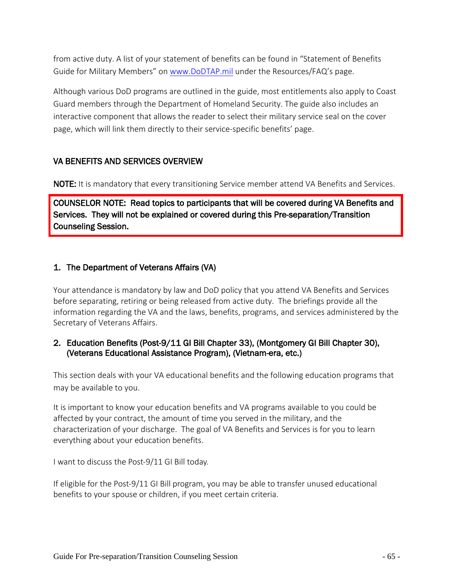from active duty. A list of your statement of benefits can be found in "Statement of Benefits Guide for Military Members" on [www.DoDTAP.mil](http://www.dodtap.mil/) under the Resources/FAQ's page.

Although various DoD programs are outlined in the guide, most entitlements also apply to Coast Guard members through the Department of Homeland Security. The guide also includes an interactive component that allows the reader to select their military service seal on the cover page, which will link them directly to their service-specific benefits' page.

#### VA BENEFITS AND SERVICES OVERVIEW

**NOTE:** It is mandatory that every transitioning Service member attend VA Benefits and Services.

COUNSELOR NOTE: Read topics to participants that will be covered during VA Benefits and Services. They will not be explained or covered during this Pre-separation/Transition Counseling Session.

# <span id="page-64-0"></span>1. The Department of Veterans Affairs (VA)

Your attendance is mandatory by law and DoD policy that you attend VA Benefits and Services before separating, retiring or being released from active duty. The briefings provide all the information regarding the VA and the laws, benefits, programs, and services administered by the Secretary of Veterans Affairs.

#### <span id="page-64-1"></span>2. Education Benefits (Post-9/11 GI Bill Chapter 33), (Montgomery GI Bill Chapter 30), (Veterans Educational Assistance Program), (Vietnam-era, etc.)

This section deals with your VA educational benefits and the following education programs that may be available to you.

It is important to know your education benefits and VA programs available to you could be affected by your contract, the amount of time you served in the military, and the characterization of your discharge. The goal of VA Benefits and Services is for you to learn everything about your education benefits.

I want to discuss the Post-9/11 GI Bill today.

If eligible for the Post-9/11 GI Bill program, you may be able to transfer unused educational benefits to your spouse or children, if you meet certain criteria.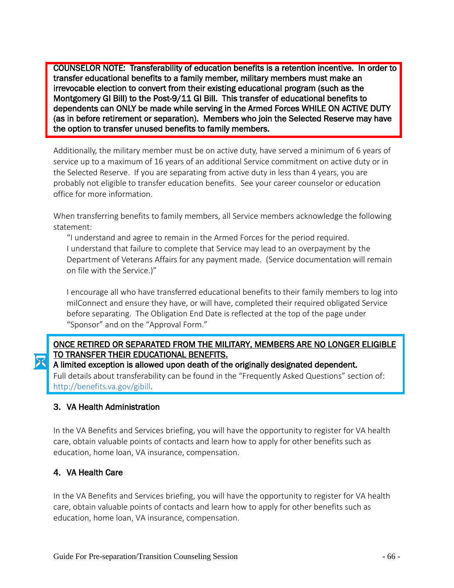֦ COUNSELOR NOTE: Transferability of education benefits is a retention incentive. In order to transfer educational benefits to a family member, military members must make an irrevocable election to convert from their existing educational program (such as the Montgomery GI Bill) to the Post-9/11 GI Bill. This transfer of educational benefits to dependents can ONLY be made while serving in the Armed Forces WHILE ON ACTIVE DUTY (as in before retirement or separation). Members who join the Selected Reserve may have the option to transfer unused benefits to family members.

Additionally, the military member must be on active duty, have served a minimum of 6 years of service up to a maximum of 16 years of an additional Service commitment on active duty or in the Selected Reserve. If you are separating from active duty in less than 4 years, you are probably not eligible to transfer education benefits. See your career counselor or education office for more information.

When transferring benefits to family members, all Service members acknowledge the following statement:

"I understand and agree to remain in the Armed Forces for the period required. I understand that failure to complete that Service may lead to an overpayment by the Department of Veterans Affairs for any payment made. (Service documentation will remain on file with the Service.)"

I encourage all who have transferred educational benefits to their family members to log into milConnect and ensure they have, or will have, completed their required obligated Service before separating. The Obligation End Date is reflected at the top of the page under "Sponsor" and on the "Approval Form."

# ONCE RETIRED OR SEPARATED FROM THE MILITARY, MEMBERS ARE NO LONGER ELIGIBLE TO TRANSFER THEIR EDUCATIONAL BENEFITS.

A limited exception is allowed upon death of the originally designated dependent.

Full details about transferability can be found in the "Frequently Asked Questions" section of: http://benefits.va.gov/gibill.

#### <span id="page-65-0"></span>3. VA Health Administration

In the VA Benefits and Services briefing, you will have the opportunity to register for VA health care, obtain valuable points of contacts and learn how to apply for other benefits such as education, home loan, VA insurance, compensation.

#### <span id="page-65-1"></span>4. VA Health Care

Ī

In the VA Benefits and Services briefing, you will have the opportunity to register for VA health care, obtain valuable points of contacts and learn how to apply for other benefits such as education, home loan, VA insurance, compensation.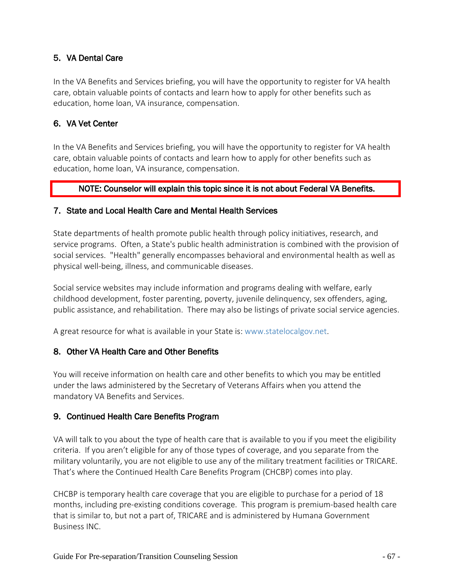#### <span id="page-66-0"></span>5. VA Dental Care

In the VA Benefits and Services briefing, you will have the opportunity to register for VA health care, obtain valuable points of contacts and learn how to apply for other benefits such as education, home loan, VA insurance, compensation.

#### <span id="page-66-1"></span>6. VA Vet Center

In the VA Benefits and Services briefing, you will have the opportunity to register for VA health care, obtain valuable points of contacts and learn how to apply for other benefits such as education, home loan, VA insurance, compensation.

#### NOTE: Counselor will explain this topic since it is not about Federal VA Benefits.

#### <span id="page-66-2"></span>7. State and Local Health Care and Mental Health Services

State departments of health promote public health through policy initiatives, research, and service programs. Often, a State's public health administration is combined with the provision of social services. "Health" generally encompasses behavioral and environmental health as well as physical well-being, illness, and communicable diseases.

Social service websites may include information and programs dealing with welfare, early childhood development, foster parenting, poverty, juvenile delinquency, sex offenders, aging, public assistance, and rehabilitation. There may also be listings of private social service agencies.

<span id="page-66-3"></span>A great resource for what is available in your State is: www.statelocalgov.net.

#### 8. Other VA Health Care and Other Benefits

You will receive information on health care and other benefits to which you may be entitled under the laws administered by the Secretary of Veterans Affairs when you attend the mandatory VA Benefits and Services.

#### <span id="page-66-4"></span>9. Continued Health Care Benefits Program

VA will talk to you about the type of health care that is available to you if you meet the eligibility criteria. If you aren't eligible for any of those types of coverage, and you separate from the military voluntarily, you are not eligible to use any of the military treatment facilities or TRICARE. That's where the Continued Health Care Benefits Program (CHCBP) comes into play.

CHCBP is temporary health care coverage that you are eligible to purchase for a period of 18 months, including pre-existing conditions coverage. This program is premium-based health care that is similar to, but not a part of, TRICARE and is administered by Humana Government Business INC.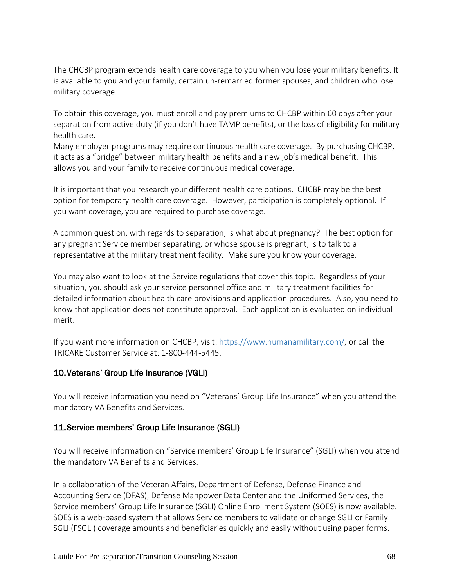The CHCBP program extends health care coverage to you when you lose your military benefits. It is available to you and your family, certain un-remarried former spouses, and children who lose military coverage.

To obtain this coverage, you must enroll and pay premiums to CHCBP within 60 days after your separation from active duty (if you don't have TAMP benefits), or the loss of eligibility for military health care.

Many employer programs may require continuous health care coverage. By purchasing CHCBP, it acts as a "bridge" between military health benefits and a new job's medical benefit. This allows you and your family to receive continuous medical coverage.

It is important that you research your different health care options. CHCBP may be the best option for temporary health care coverage. However, participation is completely optional. If you want coverage, you are required to purchase coverage.

A common question, with regards to separation, is what about pregnancy? The best option for any pregnant Service member separating, or whose spouse is pregnant, is to talk to a representative at the military treatment facility. Make sure you know your coverage.

You may also want to look at the Service regulations that cover this topic. Regardless of your situation, you should ask your service personnel office and military treatment facilities for detailed information about health care provisions and application procedures. Also, you need to know that application does not constitute approval. Each application is evaluated on individual merit.

If you want more information on CHCBP, visit: https://www.humanamilitary.com/, or call the TRICARE Customer Service at: 1-800-444-5445.

#### <span id="page-67-0"></span>10.Veterans' Group Life Insurance (VGLI)

You will receive information you need on "Veterans' Group Life Insurance" when you attend the mandatory VA Benefits and Services.

#### <span id="page-67-1"></span>11.Service members' Group Life Insurance (SGLI)

You will receive information on "Service members' Group Life Insurance" (SGLI) when you attend the mandatory VA Benefits and Services.

In a collaboration of the Veteran Affairs, Department of Defense, Defense Finance and Accounting Service (DFAS), Defense Manpower Data Center and the Uniformed Services, the Service members' Group Life Insurance (SGLI) Online Enrollment System (SOES) is now available. SOES is a web-based system that allows Service members to validate or change SGLI or Family SGLI (FSGLI) coverage amounts and beneficiaries quickly and easily without using paper forms.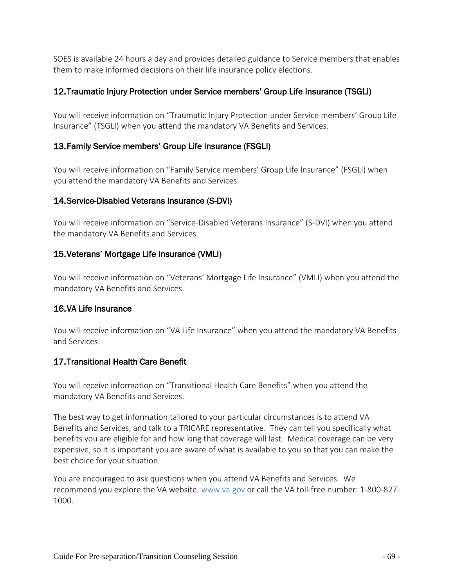SOES is available 24 hours a day and provides detailed guidance to Service members that enables them to make informed decisions on their life insurance policy elections.

#### <span id="page-68-0"></span>12.Traumatic Injury Protection under Service members' Group Life Insurance (TSGLI)

You will receive information on "Traumatic Injury Protection under Service members' Group Life Insurance" (TSGLI) when you attend the mandatory VA Benefits and Services.

#### <span id="page-68-1"></span>13.Family Service members' Group Life Insurance (FSGLI)

You will receive information on "Family Service members' Group Life Insurance" (FSGLI) when you attend the mandatory VA Benefits and Services.

# <span id="page-68-2"></span>14.Service-Disabled Veterans Insurance (S-DVI)

You will receive information on "Service-Disabled Veterans Insurance" (S-DVI) when you attend the mandatory VA Benefits and Services.

# <span id="page-68-3"></span>15.Veterans' Mortgage Life Insurance (VMLI)

You will receive information on "Veterans' Mortgage Life Insurance" (VMLI) when you attend the mandatory VA Benefits and Services.

#### <span id="page-68-4"></span>16.VA Life Insurance

You will receive information on "VA Life Insurance" when you attend the mandatory VA Benefits and Services.

# <span id="page-68-5"></span>17.Transitional Health Care Benefit

You will receive information on "Transitional Health Care Benefits" when you attend the mandatory VA Benefits and Services.

The best way to get information tailored to your particular circumstances is to attend VA Benefits and Services, and talk to a TRICARE representative. They can tell you specifically what benefits you are eligible for and how long that coverage will last. Medical coverage can be very expensive, so it is important you are aware of what is available to you so that you can make the best choice for your situation.

You are encouraged to ask questions when you attend VA Benefits and Services. We recommend you explore the VA website: www.va.gov or call the VA toll-free number: 1-800-827- 1000.